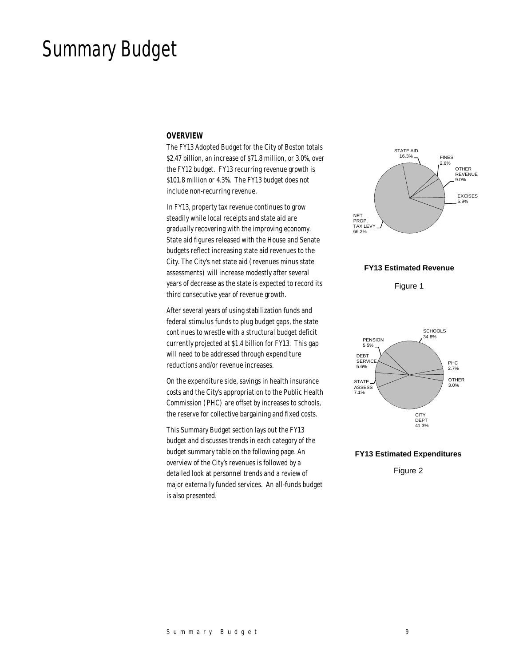# Summary Budget

#### *OVERVIEW*

The FY13 Adopted Budget for the City of Boston totals \$2.47 billion, an increase of \$71.8 million, or 3.0%, over the FY12 budget. FY13 recurring revenue growth is \$101.8 million or 4.3%. The FY13 budget does not include non-recurring revenue.

In FY13, property tax revenue continues to grow steadily while local receipts and state aid are gradually recovering with the improving economy. State aid figures released with the House and Senate budgets reflect increasing state aid revenues to the City. The City's net state aid (revenues minus state assessments) will increase modestly after several years of decrease as the state is expected to record its third consecutive year of revenue growth.

After several years of using stabilization funds and federal stimulus funds to plug budget gaps, the state continues to wrestle with a structural budget deficit currently projected at \$1.4 billion for FY13. This gap will need to be addressed through expenditure reductions and/or revenue increases.

On the expenditure side, savings in health insurance costs and the City's appropriation to the Public Health Commission (PHC) are offset by increases to schools, the reserve for collective bargaining and fixed costs.

This Summary Budget section lays out the FY13 budget and discusses trends in each category of the budget summary table on the following page. An overview of the City's revenues is followed by a detailed look at personnel trends and a review of major externally funded services. An all-funds budget is also presented.



### **FY13 Estimated Revenue**

Figure 1



### **FY13 Estimated Expenditures**

Figure 2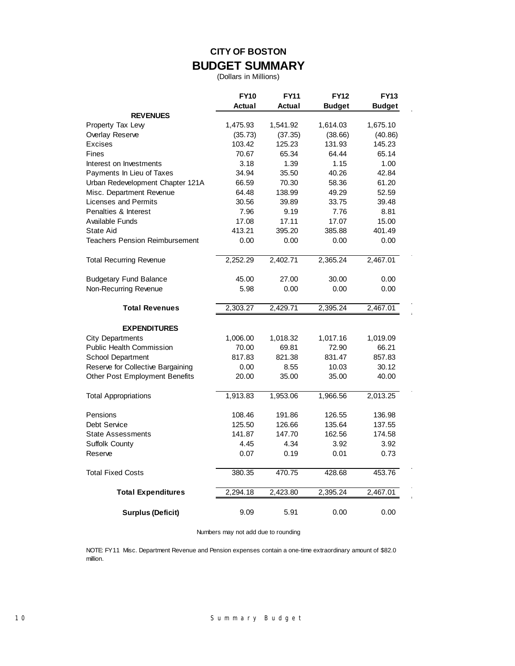## **CITY OF BOSTON BUDGET SUMMARY**

(Dollars in Millions)

|                                       | <b>FY10</b> | <b>FY11</b> | <b>FY12</b>   | <b>FY13</b>   |
|---------------------------------------|-------------|-------------|---------------|---------------|
| <b>REVENUES</b>                       | Actual      | Actual      | <b>Budget</b> | <b>Budget</b> |
| Property Tax Lew                      | 1,475.93    | 1,541.92    | 1,614.03      | 1,675.10      |
| Overlay Reserve                       | (35.73)     | (37.35)     | (38.66)       | (40.86)       |
| <b>Excises</b>                        | 103.42      | 125.23      | 131.93        | 145.23        |
| Fines                                 | 70.67       | 65.34       | 64.44         | 65.14         |
| Interest on Investments               | 3.18        | 1.39        | 1.15          | 1.00          |
| Payments In Lieu of Taxes             | 34.94       | 35.50       | 40.26         | 42.84         |
| Urban Redevelopment Chapter 121A      | 66.59       | 70.30       | 58.36         | 61.20         |
| Misc. Department Revenue              | 64.48       | 138.99      | 49.29         | 52.59         |
| <b>Licenses and Permits</b>           | 30.56       | 39.89       | 33.75         | 39.48         |
| Penalties & Interest                  | 7.96        | 9.19        | 7.76          | 8.81          |
|                                       | 17.08       | 17.11       |               |               |
| Available Funds                       |             |             | 17.07         | 15.00         |
| State Aid                             | 413.21      | 395.20      | 385.88        | 401.49        |
| <b>Teachers Pension Reimbursement</b> | 0.00        | 0.00        | 0.00          | 0.00          |
| <b>Total Recurring Revenue</b>        | 2,252.29    | 2,402.71    | 2,365.24      | 2,467.01      |
| Budgetary Fund Balance                | 45.00       | 27.00       | 30.00         | 0.00          |
| Non-Recurring Revenue                 | 5.98        | 0.00        | 0.00          | 0.00          |
| <b>Total Revenues</b>                 | 2,303.27    | 2,429.71    | 2,395.24      | 2,467.01      |
|                                       |             |             |               |               |
| <b>EXPENDITURES</b>                   |             |             |               |               |
| <b>City Departments</b>               | 1,006.00    | 1,018.32    | 1,017.16      | 1,019.09      |
| <b>Public Health Commission</b>       | 70.00       | 69.81       | 72.90         | 66.21         |
| School Department                     | 817.83      | 821.38      | 831.47        | 857.83        |
| Reserve for Collective Bargaining     | 0.00        | 8.55        | 10.03         | 30.12         |
| Other Post Employment Benefits        | 20.00       | 35.00       | 35.00         | 40.00         |
| <b>Total Appropriations</b>           | 1,913.83    | 1,953.06    | 1,966.56      | 2,013.25      |
| Pensions                              | 108.46      | 191.86      | 126.55        | 136.98        |
| Debt Service                          | 125.50      | 126.66      | 135.64        | 137.55        |
| <b>State Assessments</b>              | 141.87      | 147.70      | 162.56        | 174.58        |
| Suffolk County                        | 4.45        | 4.34        | 3.92          | 3.92          |
| Reserve                               | 0.07        | 0.19        | 0.01          | 0.73          |
| <b>Total Fixed Costs</b>              | 380.35      | 470.75      | 428.68        | 453.76        |
| <b>Total Expenditures</b>             | 2,294.18    | 2,423.80    | 2,395.24      | 2,467.01      |
| <b>Surplus (Deficit)</b>              | 9.09        | 5.91        | 0.00          | 0.00          |

Numbers may not add due to rounding

NOTE: FY11 Misc. Department Revenue and Pension expenses contain a one-time extraordinary amount of \$82.0 million.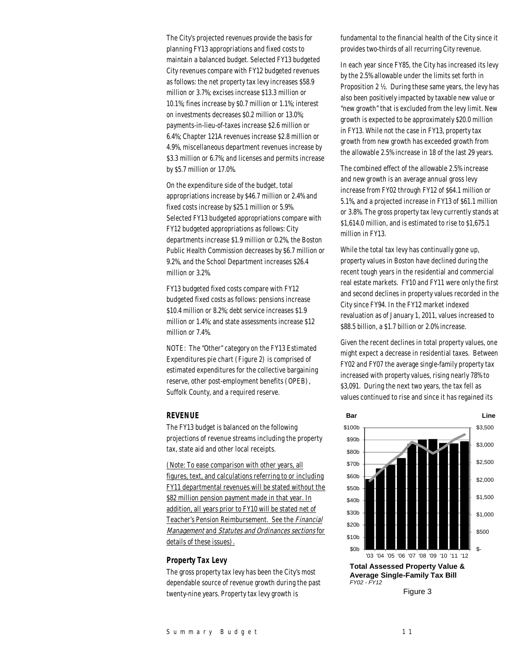The City's projected revenues provide the basis for planning FY13 appropriations and fixed costs to maintain a balanced budget. Selected FY13 budgeted City revenues compare with FY12 budgeted revenues as follows: the net property tax levy increases \$58.9 million or 3.7%; excises increase \$13.3 million or 10.1%; fines increase by \$0.7 million or 1.1%; interest on investments decreases \$0.2 million or 13.0%; payments-in-lieu-of-taxes increase \$2.6 million or 6.4%; Chapter 121A revenues increase \$2.8 million or 4.9%, miscellaneous department revenues increase by \$3.3 million or 6.7%; and licenses and permits increase by \$5.7 million or 17.0%.

On the expenditure side of the budget, total appropriations increase by \$46.7 million or 2.4% and fixed costs increase by \$25.1 million or 5.9%. Selected FY13 budgeted appropriations compare with FY12 budgeted appropriations as follows: City departments increase \$1.9 million or 0.2%, the Boston Public Health Commission decreases by \$6.7 million or 9.2%, and the School Department increases \$26.4 million or 3.2%.

FY13 budgeted fixed costs compare with FY12 budgeted fixed costs as follows: pensions increase \$10.4 million or 8.2%; debt service increases \$1.9 million or 1.4%; and state assessments increase \$12 million or 7.4%.

NOTE: The "Other" category on the FY13 Estimated Expenditures pie chart (Figure 2) is comprised of estimated expenditures for the collective bargaining reserve, other post-employment benefits (OPEB), Suffolk County, and a required reserve.

### *REVENUE*

The FY13 budget is balanced on the following projections of revenue streams including the property tax, state aid and other local receipts.

(Note: To ease comparison with other years, all figures, text, and calculations referring to or including FY11 departmental revenues will be stated without the \$82 million pension payment made in that year. In addition, all years prior to FY10 will be stated net of Teacher's Pension Reimbursement. See the Financial Management and Statutes and Ordinances sections for details of these issues).

### *Property Tax Levy*

The gross property tax levy has been the City's most dependable source of revenue growth during the past twenty-nine years. Property tax levy growth is

fundamental to the financial health of the City since it provides two-thirds of all recurring City revenue.

In each year since FY85, the City has increased its levy by the 2.5% allowable under the limits set forth in Proposition 2 ½. During these same years, the levy has also been positively impacted by taxable new value or "new growth" that is excluded from the levy limit. New growth is expected to be approximately \$20.0 million in FY13. While not the case in FY13, property tax growth from new growth has exceeded growth from the allowable 2.5% increase in 18 of the last 29 years.

The combined effect of the allowable 2.5% increase and new growth is an average annual gross levy increase from FY02 through FY12 of \$64.1 million or 5.1%, and a projected increase in FY13 of \$61.1 million or 3.8%. The gross property tax levy currently stands at \$1,614.0 million, and is estimated to rise to \$1,675.1 million in FY13.

While the total tax levy has continually gone up, property values in Boston have declined during the recent tough years in the residential and commercial real estate markets. FY10 and FY11 were only the first and second declines in property values recorded in the City since FY94. In the FY12 market indexed revaluation as of January 1, 2011, values increased to \$88.5 billion, a \$1.7 billion or 2.0% increase.

Given the recent declines in total property values, one might expect a decrease in residential taxes. Between FY02 and FY07 the average single-family property tax increased with property values, rising nearly 78% to \$3,091. During the next two years, the tax fell as values continued to rise and since it has regained its



Figure 3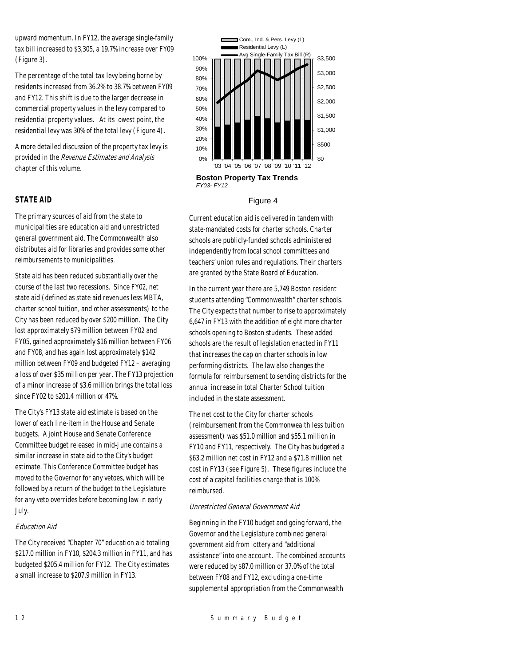upward momentum. In FY12, the average single-family tax bill increased to \$3,305, a 19.7% increase over FY09 (Figure 3).

The percentage of the total tax levy being borne by residents increased from 36.2% to 38.7% between FY09 and FY12. This shift is due to the larger decrease in commercial property values in the levy compared to residential property values. At its lowest point, the residential levy was 30% of the total levy (Figure 4).

A more detailed discussion of the property tax levy is provided in the Revenue Estimates and Analysis chapter of this volume.

### *STATE AID*

The primary sources of aid from the state to municipalities are education aid and unrestricted general government aid. The Commonwealth also distributes aid for libraries and provides some other reimbursements to municipalities.

State aid has been reduced substantially over the course of the last two recessions. Since FY02, net state aid (defined as state aid revenues less MBTA, charter school tuition, and other assessments) to the City has been reduced by over \$200 million. The City lost approximately \$79 million between FY02 and FY05, gained approximately \$16 million between FY06 and FY08, and has again lost approximately \$142 million between FY09 and budgeted FY12 – averaging a loss of over \$35 million per year. The FY13 projection of a minor increase of \$3.6 million brings the total loss since FY02 to \$201.4 million or 47%.

The City's FY13 state aid estimate is based on the lower of each line-item in the House and Senate budgets. A joint House and Senate Conference Committee budget released in mid-June contains a similar increase in state aid to the City's budget estimate. This Conference Committee budget has moved to the Governor for any vetoes, which will be followed by a return of the budget to the Legislature for any veto overrides before becoming law in early July.

### Education Aid

The City received "Chapter 70" education aid totaling \$217.0 million in FY10, \$204.3 million in FY11, and has budgeted \$205.4 million for FY12. The City estimates a small increase to \$207.9 million in FY13.



#### Figure 4

Current education aid is delivered in tandem with state-mandated costs for charter schools. Charter schools are publicly-funded schools administered independently from local school committees and teachers' union rules and regulations. Their charters are granted by the State Board of Education.

In the current year there are 5,749 Boston resident students attending "Commonwealth" charter schools. The City expects that number to rise to approximately 6,647 in FY13 with the addition of eight more charter schools opening to Boston students. These added schools are the result of legislation enacted in FY11 that increases the cap on charter schools in low performing districts. The law also changes the formula for reimbursement to sending districts for the annual increase in total Charter School tuition included in the state assessment.

The net cost to the City for charter schools (reimbursement from the Commonwealth less tuition assessment) was \$51.0 million and \$55.1 million in FY10 and FY11, respectively. The City has budgeted a \$63.2 million net cost in FY12 and a \$71.8 million net cost in FY13 (see Figure 5). These figures include the cost of a capital facilities charge that is 100% reimbursed.

#### Unrestricted General Government Aid

Beginning in the FY10 budget and going forward, the Governor and the Legislature combined general government aid from lottery and "additional assistance" into one account. The combined accounts were reduced by \$87.0 million or 37.0% of the total between FY08 and FY12, excluding a one-time supplemental appropriation from the Commonwealth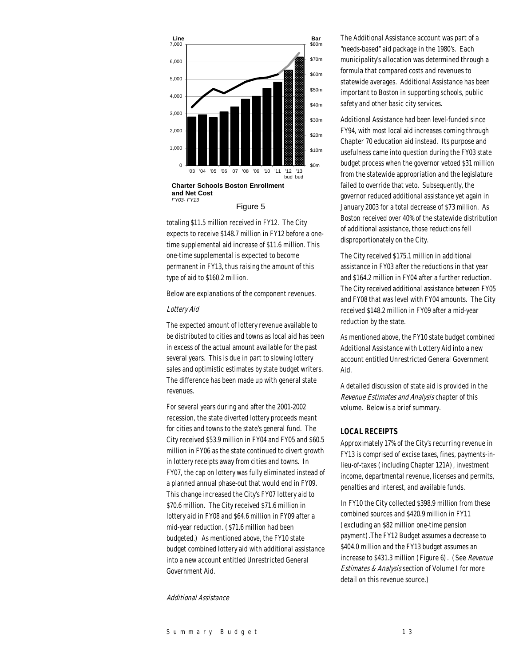

Figure 5

totaling \$11.5 million received in FY12. The City expects to receive \$148.7 million in FY12 before a onetime supplemental aid increase of \$11.6 million. This one-time supplemental is expected to become permanent in FY13, thus raising the amount of this type of aid to \$160.2 million.

Below are explanations of the component revenues.

#### Lottery Aid

The expected amount of lottery revenue available to be distributed to cities and towns as local aid has been in excess of the actual amount available for the past several years. This is due in part to slowing lottery sales and optimistic estimates by state budget writers. The difference has been made up with general state revenues.

For several years during and after the 2001-2002 recession, the state diverted lottery proceeds meant for cities and towns to the state's general fund. The City received \$53.9 million in FY04 and FY05 and \$60.5 million in FY06 as the state continued to divert growth in lottery receipts away from cities and towns. In FY07, the cap on lottery was fully eliminated instead of a planned annual phase-out that would end in FY09. This change increased the City's FY07 lottery aid to \$70.6 million. The City received \$71.6 million in lottery aid in FY08 and \$64.6 million in FY09 after a mid-year reduction. (\$71.6 million had been budgeted.) As mentioned above, the FY10 state budget combined lottery aid with additional assistance into a new account entitled Unrestricted General Government Aid.

### Additional Assistance

The Additional Assistance account was part of a "needs-based" aid package in the 1980's. Each municipality's allocation was determined through a formula that compared costs and revenues to statewide averages. Additional Assistance has been important to Boston in supporting schools, public safety and other basic city services.

Additional Assistance had been level-funded since FY94, with most local aid increases coming through Chapter 70 education aid instead. Its purpose and usefulness came into question during the FY03 state budget process when the governor vetoed \$31 million from the statewide appropriation and the legislature failed to override that veto. Subsequently, the governor reduced additional assistance yet again in January 2003 for a total decrease of \$73 million. As Boston received over 40% of the statewide distribution of additional assistance, those reductions fell disproportionately on the City.

The City received \$175.1 million in additional assistance in FY03 after the reductions in that year and \$164.2 million in FY04 after a further reduction. The City received additional assistance between FY05 and FY08 that was level with FY04 amounts. The City received \$148.2 million in FY09 after a mid-year reduction by the state.

As mentioned above, the FY10 state budget combined Additional Assistance with Lottery Aid into a new account entitled Unrestricted General Government Aid.

A detailed discussion of state aid is provided in the Revenue Estimates and Analysis chapter of this volume. Below is a brief summary.

### *LOCAL RECEIPTS*

Approximately 17% of the City's recurring revenue in FY13 is comprised of excise taxes, fines, payments-inlieu-of-taxes (including Chapter 121A), investment income, departmental revenue, licenses and permits, penalties and interest, and available funds.

In FY10 the City collected \$398.9 million from these combined sources and \$420.9 million in FY11 (excluding an \$82 million one-time pension payment).The FY12 Budget assumes a decrease to \$404.0 million and the FY13 budget assumes an increase to \$431.3 million (Figure 6). (See Revenue Estimates & Analysis section of Volume I for more detail on this revenue source.)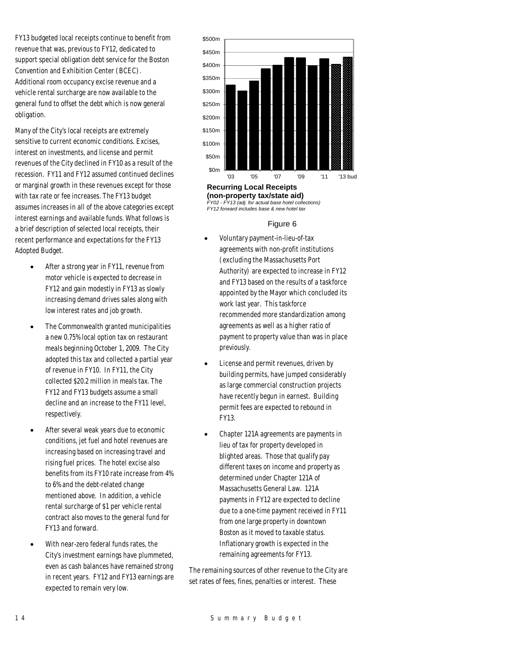FY13 budgeted local receipts continue to benefit from revenue that was, previous to FY12, dedicated to support special obligation debt service for the Boston Convention and Exhibition Center (BCEC). Additional room occupancy excise revenue and a vehicle rental surcharge are now available to the general fund to offset the debt which is now general obligation.

Many of the City's local receipts are extremely sensitive to current economic conditions. Excises, interest on investments, and license and permit revenues of the City declined in FY10 as a result of the recession. FY11 and FY12 assumed continued declines or marginal growth in these revenues except for those with tax rate or fee increases. The FY13 budget assumes increases in all of the above categories except interest earnings and available funds. What follows is a brief description of selected local receipts, their recent performance and expectations for the FY13 Adopted Budget.

- After a strong year in FY11, revenue from motor vehicle is expected to decrease in FY12 and gain modestly in FY13 as slowly increasing demand drives sales along with low interest rates and job growth.
- The Commonwealth granted municipalities a new 0.75% local option tax on restaurant meals beginning October 1, 2009. The City adopted this tax and collected a partial year of revenue in FY10. In FY11, the City collected \$20.2 million in meals tax. The FY12 and FY13 budgets assume a small decline and an increase to the FY11 level, respectively.
- After several weak years due to economic conditions, jet fuel and hotel revenues are increasing based on increasing travel and rising fuel prices. The hotel excise also benefits from its FY10 rate increase from 4% to 6% and the debt-related change mentioned above. In addition, a vehicle rental surcharge of \$1 per vehicle rental contract also moves to the general fund for FY13 and forward.
- With near-zero federal funds rates, the City's investment earnings have plummeted, even as cash balances have remained strong in recent years. FY12 and FY13 earnings are expected to remain very low.



**(non-property tax/state aid)**  *FY02 - FY13 (adj. for actual base hotel collections) FY12 forward includes base & new hotel tax*

#### Figure 6

- Voluntary payment-in-lieu-of-tax agreements with non-profit institutions (excluding the Massachusetts Port Authority) are expected to increase in FY12 and FY13 based on the results of a taskforce appointed by the Mayor which concluded its work last year. This taskforce recommended more standardization among agreements as well as a higher ratio of payment to property value than was in place previously.
- License and permit revenues, driven by building permits, have jumped considerably as large commercial construction projects have recently begun in earnest. Building permit fees are expected to rebound in FY13.
- Chapter 121A agreements are payments in lieu of tax for property developed in blighted areas. Those that qualify pay different taxes on income and property as determined under Chapter 121A of Massachusetts General Law. 121A payments in FY12 are expected to decline due to a one-time payment received in FY11 from one large property in downtown Boston as it moved to taxable status. Inflationary growth is expected in the remaining agreements for FY13.

The remaining sources of other revenue to the City are set rates of fees, fines, penalties or interest. These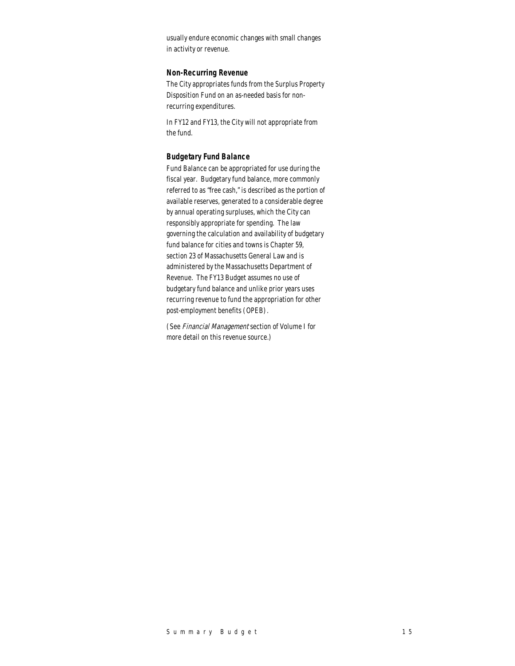usually endure economic changes with small changes in activity or revenue.

#### *Non-Recurring Revenue*

The City appropriates funds from the Surplus Property Disposition Fund on an as-needed basis for nonrecurring expenditures.

In FY12 and FY13, the City will not appropriate from the fund.

### *Budgetary Fund Balance*

Fund Balance can be appropriated for use during the fiscal year. Budgetary fund balance, more commonly referred to as "free cash," is described as the portion of available reserves, generated to a considerable degree by annual operating surpluses, which the City can responsibly appropriate for spending. The law governing the calculation and availability of budgetary fund balance for cities and towns is Chapter 59, section 23 of Massachusetts General Law and is administered by the Massachusetts Department of Revenue. The FY13 Budget assumes no use of budgetary fund balance and unlike prior years uses recurring revenue to fund the appropriation for other post-employment benefits (OPEB).

(See Financial Management section of Volume I for more detail on this revenue source.)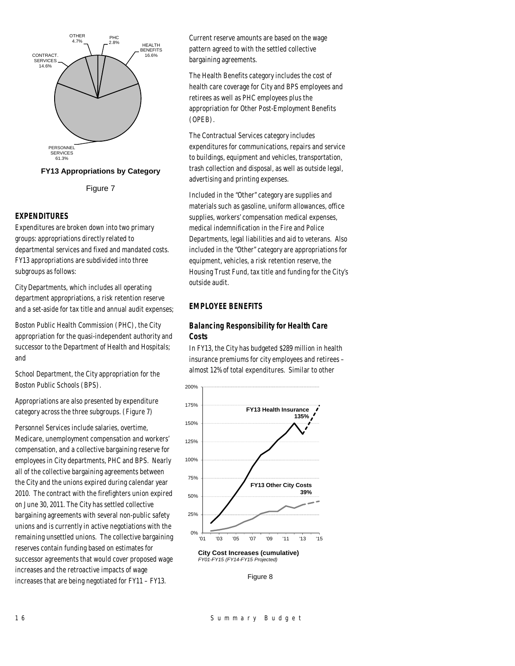



### *EXPENDITURES*

Expenditures are broken down into two primary groups: appropriations directly related to departmental services and fixed and mandated costs. FY13 appropriations are subdivided into three subgroups as follows:

City Departments, which includes all operating department appropriations, a risk retention reserve and a set-aside for tax title and annual audit expenses;

Boston Public Health Commission (PHC), the City appropriation for the quasi-independent authority and successor to the Department of Health and Hospitals; and

School Department, the City appropriation for the Boston Public Schools (BPS).

Appropriations are also presented by expenditure category across the three subgroups. (Figure 7)

Personnel Services include salaries, overtime, Medicare, unemployment compensation and workers' compensation, and a collective bargaining reserve for employees in City departments, PHC and BPS. Nearly all of the collective bargaining agreements between the City and the unions expired during calendar year 2010. The contract with the firefighters union expired on June 30, 2011. The City has settled collective bargaining agreements with several non-public safety unions and is currently in active negotiations with the remaining unsettled unions. The collective bargaining reserves contain funding based on estimates for successor agreements that would cover proposed wage increases and the retroactive impacts of wage increases that are being negotiated for FY11 – FY13.

Current reserve amounts are based on the wage pattern agreed to with the settled collective bargaining agreements.

The Health Benefits category includes the cost of health care coverage for City and BPS employees and retirees as well as PHC employees plus the appropriation for Other Post-Employment Benefits (OPEB).

The Contractual Services category includes expenditures for communications, repairs and service to buildings, equipment and vehicles, transportation, trash collection and disposal, as well as outside legal, advertising and printing expenses.

Included in the "Other" category are supplies and materials such as gasoline, uniform allowances, office supplies, workers' compensation medical expenses, medical indemnification in the Fire and Police Departments, legal liabilities and aid to veterans. Also included in the "Other" category are appropriations for equipment, vehicles, a risk retention reserve, the Housing Trust Fund, tax title and funding for the City's outside audit.

### *EMPLOYEE BENEFITS*

### *Balancing Responsibility for Health Care Costs*

In FY13, the City has budgeted \$289 million in health insurance premiums for city employees and retirees – almost 12% of total expenditures. Similar to other



**City Cost Increases (cumulative)** *FY01-FY15 (FY14-FY15 Projected)*

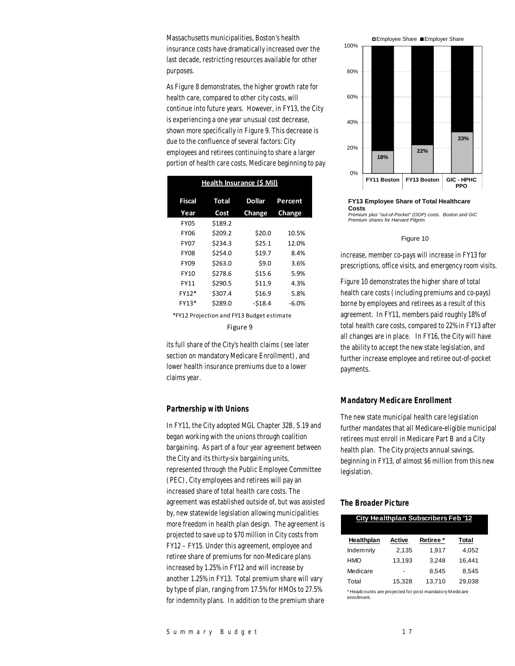Massachusetts municipalities, Boston's health insurance costs have dramatically increased over the last decade, restricting resources available for other purposes.

As Figure 8 demonstrates, the higher growth rate for health care, compared to other city costs, will continue into future years. However, in FY13, the City is experiencing a one year unusual cost decrease, shown more specifically in Figure 9. This decrease is due to the confluence of several factors: City employees and retirees continuing to share a larger portion of health care costs, Medicare beginning to pay

| Health Insurance (\$ Mil)                                                                                                                                                                                                     |              |               |         |  |  |  |  |
|-------------------------------------------------------------------------------------------------------------------------------------------------------------------------------------------------------------------------------|--------------|---------------|---------|--|--|--|--|
| <b>Fiscal</b>                                                                                                                                                                                                                 | <b>Total</b> | <b>Dollar</b> | Percent |  |  |  |  |
| Year                                                                                                                                                                                                                          | Cost         | Change        | Change  |  |  |  |  |
| <b>FY05</b>                                                                                                                                                                                                                   | \$189.2      |               |         |  |  |  |  |
| <b>FY06</b>                                                                                                                                                                                                                   | \$209.2      | \$20.0        | 10.5%   |  |  |  |  |
| <b>FY07</b>                                                                                                                                                                                                                   | \$234.3      | \$25.1        | 12.0%   |  |  |  |  |
| <b>FY08</b>                                                                                                                                                                                                                   | \$254.0      | \$19.7        | 8.4%    |  |  |  |  |
| <b>FY09</b>                                                                                                                                                                                                                   | \$263.0      | \$9.0         | 3.6%    |  |  |  |  |
| FY10                                                                                                                                                                                                                          | \$278.6      | \$15.6        | 5.9%    |  |  |  |  |
| FY11                                                                                                                                                                                                                          | \$290.5      | \$11.9        | 4.3%    |  |  |  |  |
| FY12*                                                                                                                                                                                                                         | \$307.4      | \$16.9        | 5.8%    |  |  |  |  |
| FY13*                                                                                                                                                                                                                         | \$289.0      | $-518.4$      | $-6.0%$ |  |  |  |  |
| $*$ FM4 3. But is the first that FM4 3. But the state of the state of the state of the state of the state of the state of the state of the state of the state of the state of the state of the state of the state of the stat |              |               |         |  |  |  |  |

\*FY12 Projection and FY13 Budget estimate Figure 9

its full share of the City's health claims (see later section on mandatory Medicare Enrollment), and lower health insurance premiums due to a lower claims year.

### *Partnership with Unions*

In FY11, the City adopted MGL Chapter 32B, S.19 and began working with the unions through coalition bargaining. As part of a four year agreement between the City and its thirty-six bargaining units, represented through the Public Employee Committee (PEC), City employees and retirees will pay an increased share of total health care costs. The agreement was established outside of, but was assisted by, new statewide legislation allowing municipalities more freedom in health plan design. The agreement is projected to save up to \$70 million in City costs from FY12 – FY15. Under this agreement, employee and retiree share of premiums for non-Medicare plans increased by 1.25% in FY12 and will increase by another 1.25% in FY13. Total premium share will vary by type of plan, ranging from 17.5% for HMOs to 27.5% for indemnity plans. In addition to the premium share



#### **FY13 Employee Share of Total Healthcare Costs**  *Premium plus "out-of-Pocket" (OOP) costs. Boston and GIC Premium shares for Harvard Pilgrim.*

#### Figure 10

increase, member co-pays will increase in FY13 for prescriptions, office visits, and emergency room visits.

Figure 10 demonstrates the higher share of total health care costs (including premiums and co-pays) borne by employees and retirees as a result of this agreement. In FY11, members paid roughly 18% of total health care costs, compared to 22% in FY13 after all changes are in place. In FY16, the City will have the ability to accept the new state legislation, and further increase employee and retiree out-of-pocket payments.

#### *Mandatory Medicare Enrollment*

The new state municipal health care legislation further mandates that all Medicare-eligible municipal retirees must enroll in Medicare Part B and a City health plan. The City projects annual savings, beginning in FY13, of almost \$6 million from this new legislation.

#### *The Broader Picture*

| <b>City Healthplan Subscribers Feb '12</b> |        |          |        |  |  |  |  |
|--------------------------------------------|--------|----------|--------|--|--|--|--|
| Healthplan                                 | Active | Retiree* | Total  |  |  |  |  |
| Indemnity                                  | 2.135  | 1.917    | 4.052  |  |  |  |  |
| <b>HMO</b>                                 | 13.193 | 3.248    | 16.441 |  |  |  |  |
| Medicare                                   |        | 8.545    | 8.545  |  |  |  |  |
| Total                                      | 15.328 | 13.710   | 29,038 |  |  |  |  |

\* Headcounts are projected for post mandatory M edicare enrollment.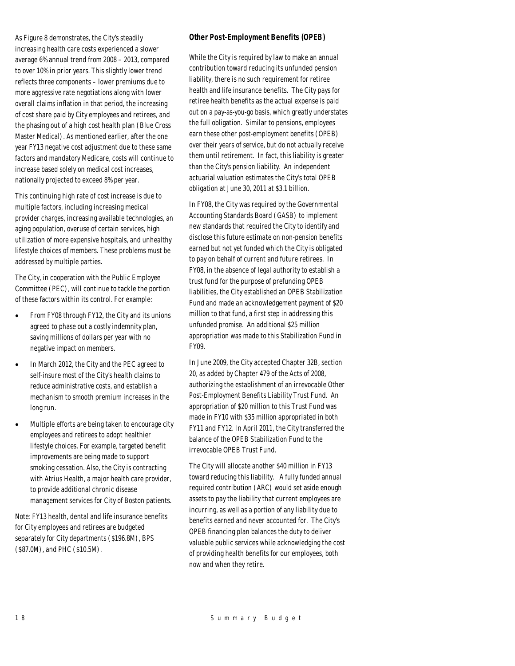As Figure 8 demonstrates, the City's steadily increasing health care costs experienced a slower average 6% annual trend from 2008 – 2013, compared to over 10% in prior years. This slightly lower trend reflects three components – lower premiums due to more aggressive rate negotiations along with lower overall claims inflation in that period, the increasing of cost share paid by City employees and retirees, and the phasing out of a high cost health plan (Blue Cross Master Medical). As mentioned earlier, after the one year FY13 negative cost adjustment due to these same factors and mandatory Medicare, costs will continue to increase based solely on medical cost increases, nationally projected to exceed 8% per year.

This continuing high rate of cost increase is due to multiple factors, including increasing medical provider charges, increasing available technologies, an aging population, overuse of certain services, high utilization of more expensive hospitals, and unhealthy lifestyle choices of members. These problems must be addressed by multiple parties.

The City, in cooperation with the Public Employee Committee (PEC), will continue to tackle the portion of these factors within its control. For example:

- From FY08 through FY12, the City and its unions agreed to phase out a costly indemnity plan, saving millions of dollars per year with no negative impact on members.
- In March 2012, the City and the PEC agreed to self-insure most of the City's health claims to reduce administrative costs, and establish a mechanism to smooth premium increases in the long run.
- Multiple efforts are being taken to encourage city employees and retirees to adopt healthier lifestyle choices. For example, targeted benefit improvements are being made to support smoking cessation. Also, the City is contracting with Atrius Health, a major health care provider, to provide additional chronic disease management services for City of Boston patients.

Note: FY13 health, dental and life insurance benefits for City employees and retirees are budgeted separately for City departments (\$196.8M), BPS (\$87.0M), and PHC (\$10.5M).

### *Other Post-Employment Benefits (OPEB)*

While the City is required by law to make an annual contribution toward reducing its unfunded pension liability, there is no such requirement for retiree health and life insurance benefits. The City pays for retiree health benefits as the actual expense is paid out on a pay-as-you-go basis, which greatly understates the full obligation. Similar to pensions, employees earn these other post-employment benefits (OPEB) over their years of service, but do not actually receive them until retirement. In fact, this liability is greater than the City's pension liability. An independent actuarial valuation estimates the City's total OPEB obligation at June 30, 2011 at \$3.1 billion.

In FY08, the City was required by the Governmental Accounting Standards Board (GASB) to implement new standards that required the City to identify and disclose this future estimate on non-pension benefits earned but not yet funded which the City is obligated to pay on behalf of current and future retirees. In FY08, in the absence of legal authority to establish a trust fund for the purpose of prefunding OPEB liabilities, the City established an OPEB Stabilization Fund and made an acknowledgement payment of \$20 million to that fund, a first step in addressing this unfunded promise. An additional \$25 million appropriation was made to this Stabilization Fund in FY09.

In June 2009, the City accepted Chapter 32B, section 20, as added by Chapter 479 of the Acts of 2008, authorizing the establishment of an irrevocable Other Post-Employment Benefits Liability Trust Fund. An appropriation of \$20 million to this Trust Fund was made in FY10 with \$35 million appropriated in both FY11 and FY12. In April 2011, the City transferred the balance of the OPEB Stabilization Fund to the irrevocable OPEB Trust Fund.

The City will allocate another \$40 million in FY13 toward reducing this liability. A fully funded annual required contribution (ARC) would set aside enough assets to pay the liability that current employees are incurring, as well as a portion of any liability due to benefits earned and never accounted for. The City's OPEB financing plan balances the duty to deliver valuable public services while acknowledging the cost of providing health benefits for our employees, both now and when they retire.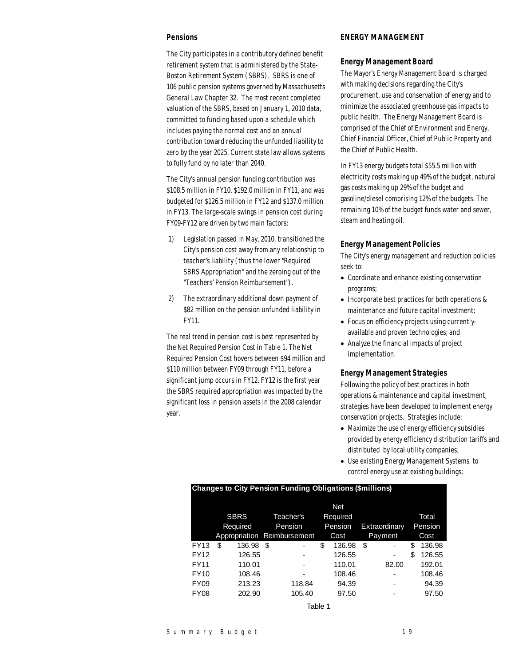### *Pensions*

The City participates in a contributory defined benefit retirement system that is administered by the State-Boston Retirement System (SBRS). SBRS is one of 106 public pension systems governed by Massachusetts General Law Chapter 32. The most recent completed valuation of the SBRS, based on January 1, 2010 data, committed to funding based upon a schedule which includes paying the normal cost and an annual contribution toward reducing the unfunded liability to zero by the year 2025. Current state law allows systems to fully fund by no later than 2040.

The City's annual pension funding contribution was \$108.5 million in FY10, \$192.0 million in FY11, and was budgeted for \$126.5 million in FY12 and \$137.0 million in FY13. The large-scale swings in pension cost during FY09-FY12 are driven by two main factors:

- 1) Legislation passed in May, 2010, transitioned the City's pension cost away from any relationship to teacher's liability (thus the lower "Required SBRS Appropriation" and the zeroing out of the "Teachers' Pension Reimbursement").
- 2) The extraordinary additional down payment of \$82 million on the pension unfunded liability in FY11.

The real trend in pension cost is best represented by the Net Required Pension Cost in Table 1. The Net Required Pension Cost hovers between \$94 million and \$110 million between FY09 through FY11, before a significant jump occurs in FY12. FY12 is the first year the SBRS required appropriation was impacted by the significant loss in pension assets in the 2008 calendar year.

### *ENERGY MANAGEMENT*

### *Energy Management Board*

The Mayor's Energy Management Board is charged with making decisions regarding the City's procurement, use and conservation of energy and to minimize the associated greenhouse gas impacts to public health. The Energy Management Board is comprised of the Chief of Environment and Energy, Chief Financial Officer, Chief of Public Property and the Chief of Public Health.

In FY13 energy budgets total \$55.5 million with electricity costs making up 49% of the budget, natural gas costs making up 29% of the budget and gasoline/diesel comprising 12% of the budgets. The remaining 10% of the budget funds water and sewer, steam and heating oil.

### *Energy Management Policies*

The City's energy management and reduction policies seek to:

- Coordinate and enhance existing conservation programs;
- Incorporate best practices for both operations & maintenance and future capital investment;
- Focus on efficiency projects using currentlyavailable and proven technologies; and
- Analyze the financial impacts of project implementation.

### *Energy Management Strategies*

Following the policy of best practices in both operations & maintenance and capital investment, strategies have been developed to implement energy conservation projects. Strategies include:

- Maximize the use of energy efficiency subsidies provided by energy efficiency distribution tariffs and distributed by local utility companies;
- Use existing Energy Management Systems to control energy use at existing buildings;

| . .              |                          |          |          |                             |    |               |    |         |         |        |
|------------------|--------------------------|----------|----------|-----------------------------|----|---------------|----|---------|---------|--------|
|                  | <b>Net</b>               |          |          |                             |    |               |    |         |         |        |
|                  | <b>SBRS</b><br>Teacher's |          | Required |                             |    |               |    | Total   |         |        |
|                  |                          | Required |          | Pension<br>Pension          |    | Extraordinary |    |         | Pension |        |
|                  |                          |          |          | Appropriation Reimbursement |    | Cost          |    | Payment |         | Cost   |
| <b>FY13</b>      | \$                       | 136.98   | S        |                             | \$ | 136.98        | \$ |         | \$      | 136.98 |
| <b>FY12</b>      |                          | 126.55   |          |                             |    | 126.55        |    | ۰       | \$      | 126.55 |
| <b>FY11</b>      |                          | 110.01   |          |                             |    | 110.01        |    | 82.00   |         | 192.01 |
| <b>FY10</b>      |                          | 108.46   |          |                             |    | 108.46        |    |         |         | 108.46 |
| FY <sub>09</sub> |                          | 213.23   |          | 118.84                      |    | 94.39         |    |         |         | 94.39  |
| FY <sub>08</sub> |                          | 202.90   |          | 105.40                      |    | 97.50         |    |         |         | 97.50  |
|                  |                          |          |          |                             |    |               |    |         |         |        |

**Changes to City Pension Funding Obligations (\$millions)**

Table 1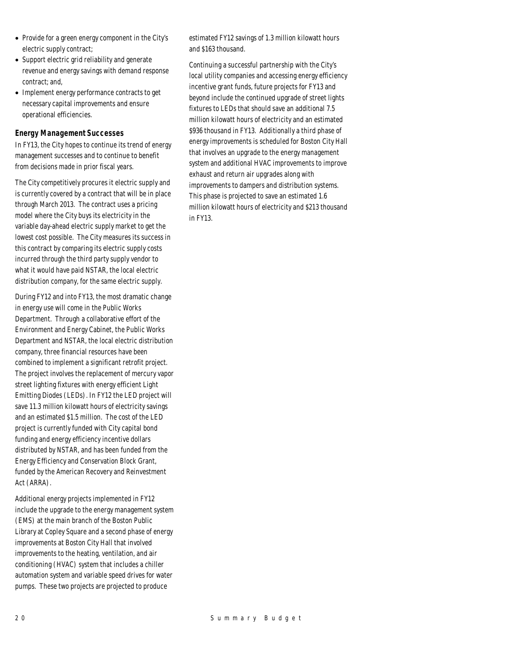- Provide for a green energy component in the City's electric supply contract;
- Support electric grid reliability and generate revenue and energy savings with demand response contract; and,
- Implement energy performance contracts to get necessary capital improvements and ensure operational efficiencies.

### *Energy Management Successes*

In FY13, the City hopes to continue its trend of energy management successes and to continue to benefit from decisions made in prior fiscal years.

The City competitively procures it electric supply and is currently covered by a contract that will be in place through March 2013. The contract uses a pricing model where the City buys its electricity in the variable day-ahead electric supply market to get the lowest cost possible. The City measures its success in this contract by comparing its electric supply costs incurred through the third party supply vendor to what it would have paid NSTAR, the local electric distribution company, for the same electric supply.

During FY12 and into FY13, the most dramatic change in energy use will come in the Public Works Department. Through a collaborative effort of the Environment and Energy Cabinet, the Public Works Department and NSTAR, the local electric distribution company, three financial resources have been combined to implement a significant retrofit project. The project involves the replacement of mercury vapor street lighting fixtures with energy efficient Light Emitting Diodes (LEDs). In FY12 the LED project will save 11.3 million kilowatt hours of electricity savings and an estimated \$1.5 million. The cost of the LED project is currently funded with City capital bond funding and energy efficiency incentive dollars distributed by NSTAR, and has been funded from the Energy Efficiency and Conservation Block Grant, funded by the American Recovery and Reinvestment Act (ARRA).

Additional energy projects implemented in FY12 include the upgrade to the energy management system (EMS) at the main branch of the Boston Public Library at Copley Square and a second phase of energy improvements at Boston City Hall that involved improvements to the heating, ventilation, and air conditioning (HVAC) system that includes a chiller automation system and variable speed drives for water pumps. These two projects are projected to produce

estimated FY12 savings of 1.3 million kilowatt hours and \$163 thousand.

Continuing a successful partnership with the City's local utility companies and accessing energy efficiency incentive grant funds, future projects for FY13 and beyond include the continued upgrade of street lights fixtures to LEDs that should save an additional 7.5 million kilowatt hours of electricity and an estimated \$936 thousand in FY13. Additionally a third phase of energy improvements is scheduled for Boston City Hall that involves an upgrade to the energy management system and additional HVAC improvements to improve exhaust and return air upgrades along with improvements to dampers and distribution systems. This phase is projected to save an estimated 1.6 million kilowatt hours of electricity and \$213 thousand in FY13.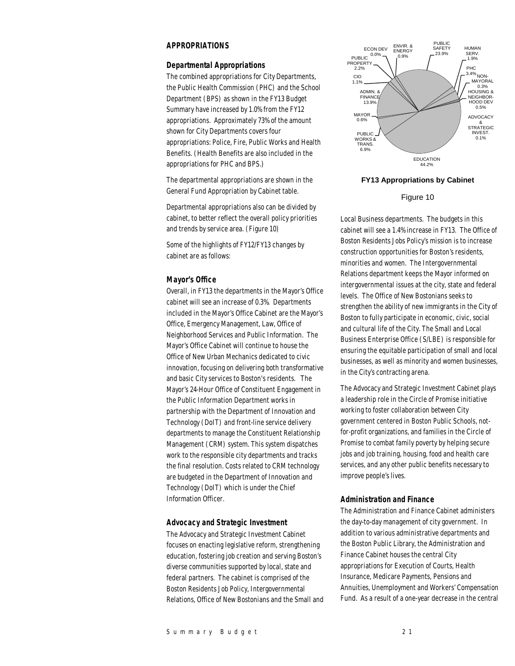### *APPROPRIATIONS*

#### *Departmental Appropriations*

The combined appropriations for City Departments, the Public Health Commission (PHC) and the School Department (BPS) as shown in the FY13 Budget Summary have increased by 1.0% from the FY12 appropriations. Approximately 73% of the amount shown for City Departments covers four appropriations: Police, Fire, Public Works and Health Benefits. (Health Benefits are also included in the appropriations for PHC and BPS.)

The departmental appropriations are shown in the General Fund Appropriation by Cabinet table.

Departmental appropriations also can be divided by cabinet, to better reflect the overall policy priorities and trends by service area. (Figure 10)

Some of the highlights of FY12/FY13 changes by cabinet are as follows:

#### *Mayor's Office*

Overall, in FY13 the departments in the Mayor's Office cabinet will see an increase of 0.3%. Departments included in the Mayor's Office Cabinet are the Mayor's Office, Emergency Management, Law, Office of Neighborhood Services and Public Information. The Mayor's Office Cabinet will continue to house the Office of New Urban Mechanics dedicated to civic innovation, focusing on delivering both transformative and basic City services to Boston's residents. The Mayor's 24-Hour Office of Constituent Engagement in the Public Information Department works in partnership with the Department of Innovation and Technology (DoIT) and front-line service delivery departments to manage the Constituent Relationship Management (CRM) system. This system dispatches work to the responsible city departments and tracks the final resolution. Costs related to CRM technology are budgeted in the Department of Innovation and Technology (DoIT) which is under the Chief Information Officer.

### *Advocacy and Strategic Investment*

The Advocacy and Strategic Investment Cabinet focuses on enacting legislative reform, strengthening education, fostering job creation and serving Boston's diverse communities supported by local, state and federal partners. The cabinet is comprised of the Boston Residents Job Policy, Intergovernmental Relations, Office of New Bostonians and the Small and



### **FY13 Appropriations by Cabinet**

#### Figure 10

Local Business departments. The budgets in this cabinet will see a 1.4% increase in FY13. The Office of Boston Residents Jobs Policy's mission is to increase construction opportunities for Boston's residents, minorities and women. The Intergovernmental Relations department keeps the Mayor informed on intergovernmental issues at the city, state and federal levels. The Office of New Bostonians seeks to strengthen the ability of new immigrants in the City of Boston to fully participate in economic, civic, social and cultural life of the City. The Small and Local Business Enterprise Office (S/LBE) is responsible for ensuring the equitable participation of small and local businesses, as well as minority and women businesses, in the City's contracting arena.

The Advocacy and Strategic Investment Cabinet plays a leadership role in the Circle of Promise initiative working to foster collaboration between City government centered in Boston Public Schools, notfor-profit organizations, and families in the Circle of Promise to combat family poverty by helping secure jobs and job training, housing, food and health care services, and any other public benefits necessary to improve people's lives.

#### *Administration and Finance*

The Administration and Finance Cabinet administers the day-to-day management of city government. In addition to various administrative departments and the Boston Public Library, the Administration and Finance Cabinet houses the central City appropriations for Execution of Courts, Health Insurance, Medicare Payments, Pensions and Annuities, Unemployment and Workers' Compensation Fund. As a result of a one-year decrease in the central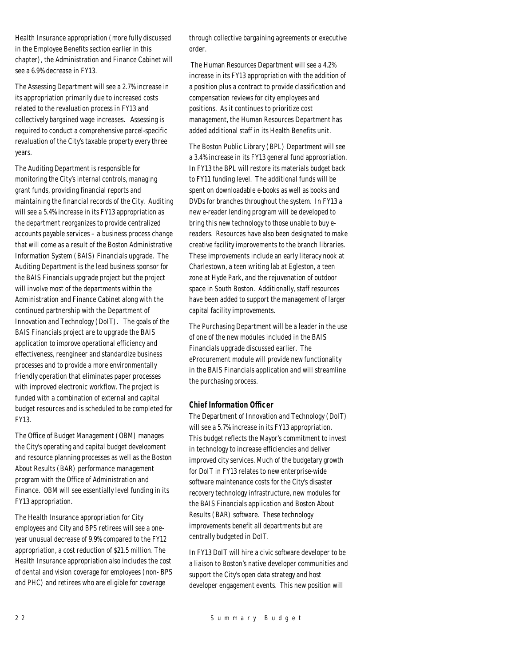Health Insurance appropriation (more fully discussed in the Employee Benefits section earlier in this chapter), the Administration and Finance Cabinet will see a 6.9% decrease in FY13.

The Assessing Department will see a 2.7% increase in its appropriation primarily due to increased costs related to the revaluation process in FY13 and collectively bargained wage increases. Assessing is required to conduct a comprehensive parcel-specific revaluation of the City's taxable property every three years.

The Auditing Department is responsible for monitoring the City's internal controls, managing grant funds, providing financial reports and maintaining the financial records of the City. Auditing will see a 5.4% increase in its FY13 appropriation as the department reorganizes to provide centralized accounts payable services – a business process change that will come as a result of the Boston Administrative Information System (BAIS) Financials upgrade. The Auditing Department is the lead business sponsor for the BAIS Financials upgrade project but the project will involve most of the departments within the Administration and Finance Cabinet along with the continued partnership with the Department of Innovation and Technology (DoIT). The goals of the BAIS Financials project are to upgrade the BAIS application to improve operational efficiency and effectiveness, reengineer and standardize business processes and to provide a more environmentally friendly operation that eliminates paper processes with improved electronic workflow. The project is funded with a combination of external and capital budget resources and is scheduled to be completed for FY13.

The Office of Budget Management (OBM) manages the City's operating and capital budget development and resource planning processes as well as the Boston About Results (BAR) performance management program with the Office of Administration and Finance. OBM will see essentially level funding in its FY13 appropriation.

The Health Insurance appropriation for City employees and City and BPS retirees will see a oneyear unusual decrease of 9.9% compared to the FY12 appropriation, a cost reduction of \$21.5 million. The Health Insurance appropriation also includes the cost of dental and vision coverage for employees (non- BPS and PHC) and retirees who are eligible for coverage

through collective bargaining agreements or executive order.

 The Human Resources Department will see a 4.2% increase in its FY13 appropriation with the addition of a position plus a contract to provide classification and compensation reviews for city employees and positions. As it continues to prioritize cost management, the Human Resources Department has added additional staff in its Health Benefits unit.

The Boston Public Library (BPL) Department will see a 3.4% increase in its FY13 general fund appropriation. In FY13 the BPL will restore its materials budget back to FY11 funding level. The additional funds will be spent on downloadable e-books as well as books and DVDs for branches throughout the system. In FY13 a new e-reader lending program will be developed to bring this new technology to those unable to buy ereaders. Resources have also been designated to make creative facility improvements to the branch libraries. These improvements include an early literacy nook at Charlestown, a teen writing lab at Egleston, a teen zone at Hyde Park, and the rejuvenation of outdoor space in South Boston. Additionally, staff resources have been added to support the management of larger capital facility improvements.

The Purchasing Department will be a leader in the use of one of the new modules included in the BAIS Financials upgrade discussed earlier. The eProcurement module will provide new functionality in the BAIS Financials application and will streamline the purchasing process.

### *Chief Information Officer*

The Department of Innovation and Technology (DoIT) will see a 5.7% increase in its FY13 appropriation. This budget reflects the Mayor's commitment to invest in technology to increase efficiencies and deliver improved city services. Much of the budgetary growth for DoIT in FY13 relates to new enterprise-wide software maintenance costs for the City's disaster recovery technology infrastructure, new modules for the BAIS Financials application and Boston About Results (BAR) software. These technology improvements benefit all departments but are centrally budgeted in DoIT.

In FY13 DoIT will hire a civic software developer to be a liaison to Boston's native developer communities and support the City's open data strategy and host developer engagement events. This new position will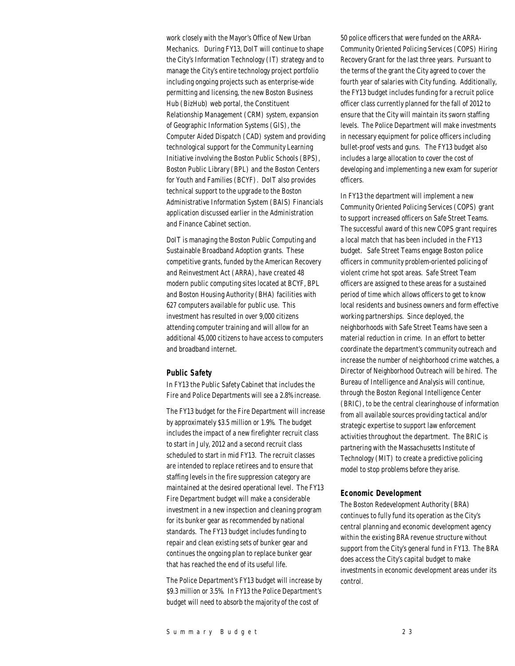work closely with the Mayor's Office of New Urban Mechanics. During FY13, DoIT will continue to shape the City's Information Technology (IT) strategy and to manage the City's entire technology project portfolio including ongoing projects such as enterprise-wide permitting and licensing, the new Boston Business Hub (BizHub) web portal, the Constituent Relationship Management (CRM) system, expansion of Geographic Information Systems (GIS), the Computer Aided Dispatch (CAD) system and providing technological support for the Community Learning Initiative involving the Boston Public Schools (BPS), Boston Public Library (BPL) and the Boston Centers for Youth and Families (BCYF). DoIT also provides technical support to the upgrade to the Boston Administrative Information System (BAIS) Financials application discussed earlier in the Administration and Finance Cabinet section.

DoIT is managing the Boston Public Computing and Sustainable Broadband Adoption grants. These competitive grants, funded by the American Recovery and Reinvestment Act (ARRA), have created 48 modern public computing sites located at BCYF, BPL and Boston Housing Authority (BHA) facilities with 627 computers available for public use. This investment has resulted in over 9,000 citizens attending computer training and will allow for an additional 45,000 citizens to have access to computers and broadband internet.

### *Public Safety*

In FY13 the Public Safety Cabinet that includes the Fire and Police Departments will see a 2.8% increase.

The FY13 budget for the Fire Department will increase by approximately \$3.5 million or 1.9%. The budget includes the impact of a new firefighter recruit class to start in July, 2012 and a second recruit class scheduled to start in mid FY13. The recruit classes are intended to replace retirees and to ensure that staffing levels in the fire suppression category are maintained at the desired operational level. The FY13 Fire Department budget will make a considerable investment in a new inspection and cleaning program for its bunker gear as recommended by national standards. The FY13 budget includes funding to repair and clean existing sets of bunker gear and continues the ongoing plan to replace bunker gear that has reached the end of its useful life.

The Police Department's FY13 budget will increase by \$9.3 million or 3.5%. In FY13 the Police Department's budget will need to absorb the majority of the cost of

50 police officers that were funded on the ARRA-Community Oriented Policing Services (COPS) Hiring Recovery Grant for the last three years. Pursuant to the terms of the grant the City agreed to cover the fourth year of salaries with City funding. Additionally, the FY13 budget includes funding for a recruit police officer class currently planned for the fall of 2012 to ensure that the City will maintain its sworn staffing levels. The Police Department will make investments in necessary equipment for police officers including bullet-proof vests and guns. The FY13 budget also includes a large allocation to cover the cost of developing and implementing a new exam for superior officers.

In FY13 the department will implement a new Community Oriented Policing Services (COPS) grant to support increased officers on Safe Street Teams. The successful award of this new COPS grant requires a local match that has been included in the FY13 budget. Safe Street Teams engage Boston police officers in community problem-oriented policing of violent crime hot spot areas. Safe Street Team officers are assigned to these areas for a sustained period of time which allows officers to get to know local residents and business owners and form effective working partnerships. Since deployed, the neighborhoods with Safe Street Teams have seen a material reduction in crime. In an effort to better coordinate the department's community outreach and increase the number of neighborhood crime watches, a Director of Neighborhood Outreach will be hired. The Bureau of Intelligence and Analysis will continue, through the Boston Regional Intelligence Center (BRIC), to be the central clearinghouse of information from all available sources providing tactical and/or strategic expertise to support law enforcement activities throughout the department. The BRIC is partnering with the Massachusetts Institute of Technology (MIT) to create a predictive policing model to stop problems before they arise.

### *Economic Development*

The Boston Redevelopment Authority (BRA) continues to fully fund its operation as the City's central planning and economic development agency within the existing BRA revenue structure without support from the City's general fund in FY13. The BRA does access the City's capital budget to make investments in economic development areas under its control.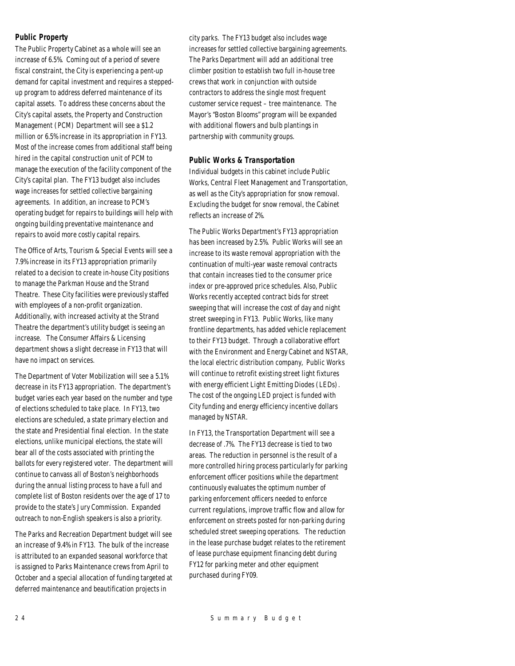### *Public Property*

The Public Property Cabinet as a whole will see an increase of 6.5%. Coming out of a period of severe fiscal constraint, the City is experiencing a pent-up demand for capital investment and requires a steppedup program to address deferred maintenance of its capital assets. To address these concerns about the City's capital assets, the Property and Construction Management (PCM) Department will see a \$1.2 million or 6.5% increase in its appropriation in FY13. Most of the increase comes from additional staff being hired in the capital construction unit of PCM to manage the execution of the facility component of the City's capital plan. The FY13 budget also includes wage increases for settled collective bargaining agreements. In addition, an increase to PCM's operating budget for repairs to buildings will help with ongoing building preventative maintenance and repairs to avoid more costly capital repairs.

The Office of Arts, Tourism & Special Events will see a 7.9% increase in its FY13 appropriation primarily related to a decision to create in-house City positions to manage the Parkman House and the Strand Theatre. These City facilities were previously staffed with employees of a non-profit organization. Additionally, with increased activity at the Strand Theatre the department's utility budget is seeing an increase. The Consumer Affairs & Licensing department shows a slight decrease in FY13 that will have no impact on services.

The Department of Voter Mobilization will see a 5.1% decrease in its FY13 appropriation. The department's budget varies each year based on the number and type of elections scheduled to take place. In FY13, two elections are scheduled, a state primary election and the state and Presidential final election. In the state elections, unlike municipal elections, the state will bear all of the costs associated with printing the ballots for every registered voter. The department will continue to canvass all of Boston's neighborhoods during the annual listing process to have a full and complete list of Boston residents over the age of 17 to provide to the state's Jury Commission. Expanded outreach to non-English speakers is also a priority.

The Parks and Recreation Department budget will see an increase of 9.4% in FY13. The bulk of the increase is attributed to an expanded seasonal workforce that is assigned to Parks Maintenance crews from April to October and a special allocation of funding targeted at deferred maintenance and beautification projects in

city parks. The FY13 budget also includes wage increases for settled collective bargaining agreements. The Parks Department will add an additional tree climber position to establish two full in-house tree crews that work in conjunction with outside contractors to address the single most frequent customer service request – tree maintenance. The Mayor's "Boston Blooms" program will be expanded with additional flowers and bulb plantings in partnership with community groups.

### *Public Works & Transportation*

Individual budgets in this cabinet include Public Works, Central Fleet Management and Transportation, as well as the City's appropriation for snow removal. Excluding the budget for snow removal, the Cabinet reflects an increase of 2%.

The Public Works Department's FY13 appropriation has been increased by 2.5%. Public Works will see an increase to its waste removal appropriation with the continuation of multi-year waste removal contracts that contain increases tied to the consumer price index or pre-approved price schedules. Also, Public Works recently accepted contract bids for street sweeping that will increase the cost of day and night street sweeping in FY13. Public Works, like many frontline departments, has added vehicle replacement to their FY13 budget. Through a collaborative effort with the Environment and Energy Cabinet and NSTAR, the local electric distribution company, Public Works will continue to retrofit existing street light fixtures with energy efficient Light Emitting Diodes (LEDs). The cost of the ongoing LED project is funded with City funding and energy efficiency incentive dollars managed by NSTAR.

In FY13, the Transportation Department will see a decrease of .7%. The FY13 decrease is tied to two areas. The reduction in personnel is the result of a more controlled hiring process particularly for parking enforcement officer positions while the department continuously evaluates the optimum number of parking enforcement officers needed to enforce current regulations, improve traffic flow and allow for enforcement on streets posted for non-parking during scheduled street sweeping operations. The reduction in the lease purchase budget relates to the retirement of lease purchase equipment financing debt during FY12 for parking meter and other equipment purchased during FY09.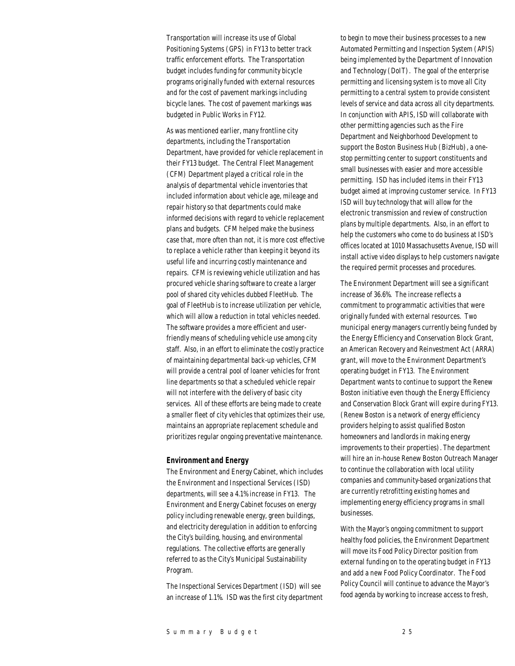Transportation will increase its use of Global Positioning Systems (GPS) in FY13 to better track traffic enforcement efforts. The Transportation budget includes funding for community bicycle programs originally funded with external resources and for the cost of pavement markings including bicycle lanes. The cost of pavement markings was budgeted in Public Works in FY12.

As was mentioned earlier, many frontline city departments, including the Transportation Department, have provided for vehicle replacement in their FY13 budget. The Central Fleet Management (CFM) Department played a critical role in the analysis of departmental vehicle inventories that included information about vehicle age, mileage and repair history so that departments could make informed decisions with regard to vehicle replacement plans and budgets. CFM helped make the business case that, more often than not, it is more cost effective to replace a vehicle rather than keeping it beyond its useful life and incurring costly maintenance and repairs. CFM is reviewing vehicle utilization and has procured vehicle sharing software to create a larger pool of shared city vehicles dubbed FleetHub. The goal of FleetHub is to increase utilization per vehicle, which will allow a reduction in total vehicles needed. The software provides a more efficient and userfriendly means of scheduling vehicle use among city staff. Also, in an effort to eliminate the costly practice of maintaining departmental back-up vehicles, CFM will provide a central pool of loaner vehicles for front line departments so that a scheduled vehicle repair will not interfere with the delivery of basic city services. All of these efforts are being made to create a smaller fleet of city vehicles that optimizes their use, maintains an appropriate replacement schedule and prioritizes regular ongoing preventative maintenance.

#### *Environment and Energy*

The Environment and Energy Cabinet, which includes the Environment and Inspectional Services (ISD) departments, will see a 4.1% increase in FY13. The Environment and Energy Cabinet focuses on energy policy including renewable energy, green buildings, and electricity deregulation in addition to enforcing the City's building, housing, and environmental regulations. The collective efforts are generally referred to as the City's Municipal Sustainability Program.

The Inspectional Services Department (ISD) will see an increase of 1.1%. ISD was the first city department

to begin to move their business processes to a new Automated Permitting and Inspection System (APIS) being implemented by the Department of Innovation and Technology (DoIT). The goal of the enterprise permitting and licensing system is to move all City permitting to a central system to provide consistent levels of service and data across all city departments. In conjunction with APIS, ISD will collaborate with other permitting agencies such as the Fire Department and Neighborhood Development to support the Boston Business Hub (BizHub), a onestop permitting center to support constituents and small businesses with easier and more accessible permitting. ISD has included items in their FY13 budget aimed at improving customer service. In FY13 ISD will buy technology that will allow for the electronic transmission and review of construction plans by multiple departments. Also, in an effort to help the customers who come to do business at ISD's offices located at 1010 Massachusetts Avenue, ISD will install active video displays to help customers navigate the required permit processes and procedures.

The Environment Department will see a significant increase of 36.6%. The increase reflects a commitment to programmatic activities that were originally funded with external resources. Two municipal energy managers currently being funded by the Energy Efficiency and Conservation Block Grant, an American Recovery and Reinvestment Act (ARRA) grant, will move to the Environment Department's operating budget in FY13. The Environment Department wants to continue to support the Renew Boston initiative even though the Energy Efficiency and Conservation Block Grant will expire during FY13. (Renew Boston is a network of energy efficiency providers helping to assist qualified Boston homeowners and landlords in making energy improvements to their properties). The department will hire an in-house Renew Boston Outreach Manager to continue the collaboration with local utility companies and community-based organizations that are currently retrofitting existing homes and implementing energy efficiency programs in small businesses.

With the Mayor's ongoing commitment to support healthy food policies, the Environment Department will move its Food Policy Director position from external funding on to the operating budget in FY13 and add a new Food Policy Coordinator. The Food Policy Council will continue to advance the Mayor's food agenda by working to increase access to fresh,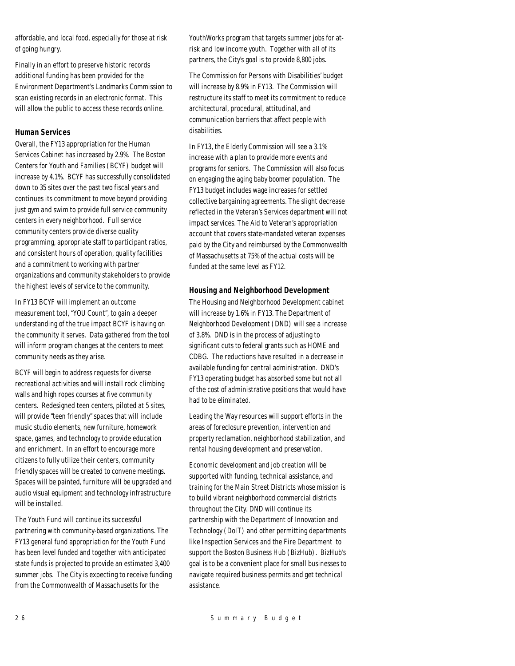affordable, and local food, especially for those at risk of going hungry.

Finally in an effort to preserve historic records additional funding has been provided for the Environment Department's Landmarks Commission to scan existing records in an electronic format. This will allow the public to access these records online.

### *Human Services*

Overall, the FY13 appropriation for the Human Services Cabinet has increased by 2.9%. The Boston Centers for Youth and Families (BCYF) budget will increase by 4.1%. BCYF has successfully consolidated down to 35 sites over the past two fiscal years and continues its commitment to move beyond providing just gym and swim to provide full service community centers in every neighborhood. Full service community centers provide diverse quality programming, appropriate staff to participant ratios, and consistent hours of operation, quality facilities and a commitment to working with partner organizations and community stakeholders to provide the highest levels of service to the community.

In FY13 BCYF will implement an outcome measurement tool, "YOU Count", to gain a deeper understanding of the true impact BCYF is having on the community it serves. Data gathered from the tool will inform program changes at the centers to meet community needs as they arise.

BCYF will begin to address requests for diverse recreational activities and will install rock climbing walls and high ropes courses at five community centers. Redesigned teen centers, piloted at 5 sites, will provide "teen friendly" spaces that will include music studio elements, new furniture, homework space, games, and technology to provide education and enrichment. In an effort to encourage more citizens to fully utilize their centers, community friendly spaces will be created to convene meetings. Spaces will be painted, furniture will be upgraded and audio visual equipment and technology infrastructure will be installed.

The Youth Fund will continue its successful partnering with community-based organizations. The FY13 general fund appropriation for the Youth Fund has been level funded and together with anticipated state funds is projected to provide an estimated 3,400 summer jobs. The City is expecting to receive funding from the Commonwealth of Massachusetts for the

YouthWorks program that targets summer jobs for atrisk and low income youth. Together with all of its partners, the City's goal is to provide 8,800 jobs.

The Commission for Persons with Disabilities' budget will increase by 8.9% in FY13. The Commission will restructure its staff to meet its commitment to reduce architectural, procedural, attitudinal, and communication barriers that affect people with disabilities.

In FY13, the Elderly Commission will see a 3.1% increase with a plan to provide more events and programs for seniors. The Commission will also focus on engaging the aging baby boomer population. The FY13 budget includes wage increases for settled collective bargaining agreements. The slight decrease reflected in the Veteran's Services department will not impact services. The Aid to Veteran's appropriation account that covers state-mandated veteran expenses paid by the City and reimbursed by the Commonwealth of Massachusetts at 75% of the actual costs will be funded at the same level as FY12.

### *Housing and Neighborhood Development*

The Housing and Neighborhood Development cabinet will increase by 1.6% in FY13. The Department of Neighborhood Development (DND) will see a increase of 3.8%. DND is in the process of adjusting to significant cuts to federal grants such as HOME and CDBG. The reductions have resulted in a decrease in available funding for central administration. DND's FY13 operating budget has absorbed some but not all of the cost of administrative positions that would have had to be eliminated.

Leading the Way resources will support efforts in the areas of foreclosure prevention, intervention and property reclamation, neighborhood stabilization, and rental housing development and preservation.

Economic development and job creation will be supported with funding, technical assistance, and training for the Main Street Districts whose mission is to build vibrant neighborhood commercial districts throughout the City. DND will continue its partnership with the Department of Innovation and Technology (DoIT) and other permitting departments like Inspection Services and the Fire Department to support the Boston Business Hub (BizHub). BizHub's goal is to be a convenient place for small businesses to navigate required business permits and get technical assistance.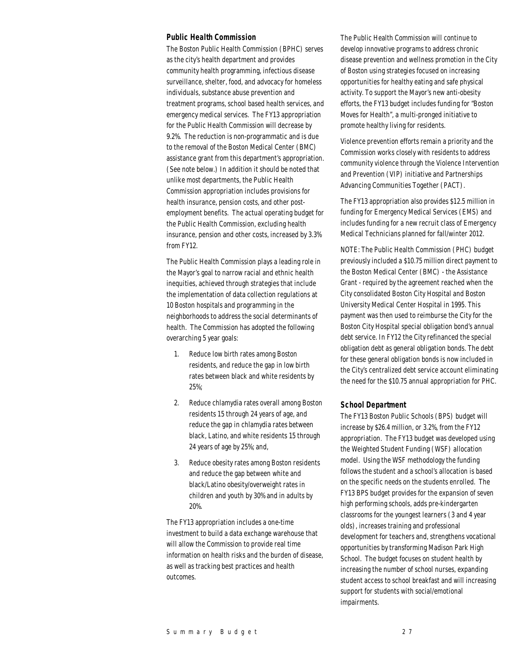#### *Public Health Commission*

The Boston Public Health Commission (BPHC) serves as the city's health department and provides community health programming, infectious disease surveillance, shelter, food, and advocacy for homeless individuals, substance abuse prevention and treatment programs, school based health services, and emergency medical services. The FY13 appropriation for the Public Health Commission will decrease by 9.2%. The reduction is non-programmatic and is due to the removal of the Boston Medical Center (BMC) assistance grant from this department's appropriation. (See note below.) In addition it should be noted that unlike most departments, the Public Health Commission appropriation includes provisions for health insurance, pension costs, and other postemployment benefits. The actual operating budget for the Public Health Commission, excluding health insurance, pension and other costs, increased by 3.3% from FY12.

The Public Health Commission plays a leading role in the Mayor's goal to narrow racial and ethnic health inequities, achieved through strategies that include the implementation of data collection regulations at 10 Boston hospitals and programming in the neighborhoods to address the social determinants of health. The Commission has adopted the following overarching 5 year goals:

- 1. Reduce low birth rates among Boston residents, and reduce the gap in low birth rates between black and white residents by 25%;
- 2. Reduce chlamydia rates overall among Boston residents 15 through 24 years of age, and reduce the gap in chlamydia rates between black, Latino, and white residents 15 through 24 years of age by 25%; and,
- 3. Reduce obesity rates among Boston residents and reduce the gap between white and black/Latino obesity/overweight rates in children and youth by 30% and in adults by 20%.

The FY13 appropriation includes a one-time investment to build a data exchange warehouse that will allow the Commission to provide real time information on health risks and the burden of disease, as well as tracking best practices and health outcomes.

The Public Health Commission will continue to develop innovative programs to address chronic disease prevention and wellness promotion in the City of Boston using strategies focused on increasing opportunities for healthy eating and safe physical activity. To support the Mayor's new anti-obesity efforts, the FY13 budget includes funding for "Boston Moves for Health", a multi-pronged initiative to promote healthy living for residents.

Violence prevention efforts remain a priority and the Commission works closely with residents to address community violence through the Violence Intervention and Prevention (VIP) initiative and Partnerships Advancing Communities Together (PACT).

The FY13 appropriation also provides \$12.5 million in funding for Emergency Medical Services (EMS) and includes funding for a new recruit class of Emergency Medical Technicians planned for fall/winter 2012.

NOTE: The Public Health Commission (PHC) budget previously included a \$10.75 million direct payment to the Boston Medical Center (BMC) - the Assistance Grant - required by the agreement reached when the City consolidated Boston City Hospital and Boston University Medical Center Hospital in 1995. This payment was then used to reimburse the City for the Boston City Hospital special obligation bond's annual debt service. In FY12 the City refinanced the special obligation debt as general obligation bonds. The debt for these general obligation bonds is now included in the City's centralized debt service account eliminating the need for the \$10.75 annual appropriation for PHC.

#### *School Department*

The FY13 Boston Public Schools (BPS) budget will increase by \$26.4 million, or 3.2%, from the FY12 appropriation. The FY13 budget was developed using the Weighted Student Funding (WSF) allocation model. Using the WSF methodology the funding follows the student and a school's allocation is based on the specific needs on the students enrolled. The FY13 BPS budget provides for the expansion of seven high performing schools, adds pre-kindergarten classrooms for the youngest learners (3 and 4 year olds), increases training and professional development for teachers and, strengthens vocational opportunities by transforming Madison Park High School. The budget focuses on student health by increasing the number of school nurses, expanding student access to school breakfast and will increasing support for students with social/emotional impairments.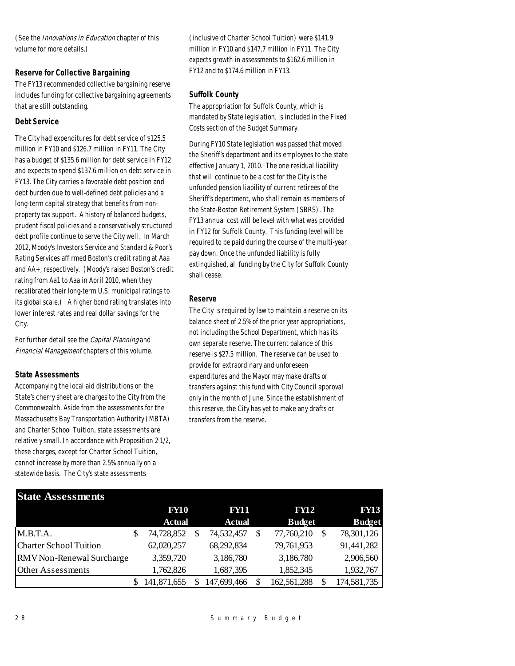(See the *Innovations in Education* chapter of this volume for more details.)

### *Reserve for Collective Bargaining*

The FY13 recommended collective bargaining reserve includes funding for collective bargaining agreements that are still outstanding.

### *Debt Service*

The City had expenditures for debt service of \$125.5 million in FY10 and \$126.7 million in FY11. The City has a budget of \$135.6 million for debt service in FY12 and expects to spend \$137.6 million on debt service in FY13. The City carries a favorable debt position and debt burden due to well-defined debt policies and a long-term capital strategy that benefits from nonproperty tax support. A history of balanced budgets, prudent fiscal policies and a conservatively structured debt profile continue to serve the City well. In March 2012, Moody's Investors Service and Standard & Poor's Rating Services affirmed Boston's credit rating at Aaa and AA+, respectively. (Moody's raised Boston's credit rating from Aa1 to Aaa in April 2010, when they recalibrated their long-term U.S. municipal ratings to its global scale.) A higher bond rating translates into lower interest rates and real dollar savings for the City.

For further detail see the Capital Planning and Financial Management chapters of this volume.

### *State Assessments*

Accompanying the local aid distributions on the State's cherry sheet are charges to the City from the Commonwealth. Aside from the assessments for the Massachusetts Bay Transportation Authority (MBTA) and Charter School Tuition, state assessments are relatively small. In accordance with Proposition 2 1/2, these charges, except for Charter School Tuition, cannot increase by more than 2.5% annually on a statewide basis. The City's state assessments

(inclusive of Charter School Tuition) were \$141.9 million in FY10 and \$147.7 million in FY11. The City expects growth in assessments to \$162.6 million in FY12 and to \$174.6 million in FY13.

### *Suffolk County*

The appropriation for Suffolk County, which is mandated by State legislation, is included in the Fixed Costs section of the Budget Summary.

During FY10 State legislation was passed that moved the Sheriff's department and its employees to the state effective January 1, 2010. The one residual liability that will continue to be a cost for the City is the unfunded pension liability of current retirees of the Sheriff's department, who shall remain as members of the State-Boston Retirement System (SBRS). The FY13 annual cost will be level with what was provided in FY12 for Suffolk County. This funding level will be required to be paid during the course of the multi-year pay down. Once the unfunded liability is fully extinguished, all funding by the City for Suffolk County shall cease.

### *Reserve*

The City is required by law to maintain a reserve on its balance sheet of 2.5% of the prior year appropriations, not including the School Department, which has its own separate reserve. The current balance of this reserve is \$27.5 million. The reserve can be used to provide for extraordinary and unforeseen expenditures and the Mayor may make drafts or transfers against this fund with City Council approval only in the month of June. Since the establishment of this reserve, the City has yet to make any drafts or transfers from the reserve.

| <b>State Assessments</b>      |                   |  |               |  |               |             |               |
|-------------------------------|-------------------|--|---------------|--|---------------|-------------|---------------|
|                               | <b>FY10</b>       |  | <b>FY11</b>   |  |               | <b>FY12</b> |               |
|                               | <b>Actual</b>     |  | <b>Actual</b> |  | <b>Budget</b> |             | <b>Budget</b> |
| M.B.T.A.                      | \$<br>74,728,852  |  | 74,532,457    |  | 77,760,210    |             | 78,301,126    |
| <b>Charter School Tuition</b> | 62,020,257        |  | 68,292,834    |  | 79,761,953    |             | 91,441,282    |
| RMV Non-Renewal Surcharge     | 3,359,720         |  | 3,186,780     |  | 3,186,780     |             | 2,906,560     |
| Other Assessments             | 1,762,826         |  | 1,687,395     |  | 1,852,345     |             | 1,932,767     |
|                               | \$<br>141,871,655 |  | 147,699,466   |  | 162,561,288   |             | 174,581,735   |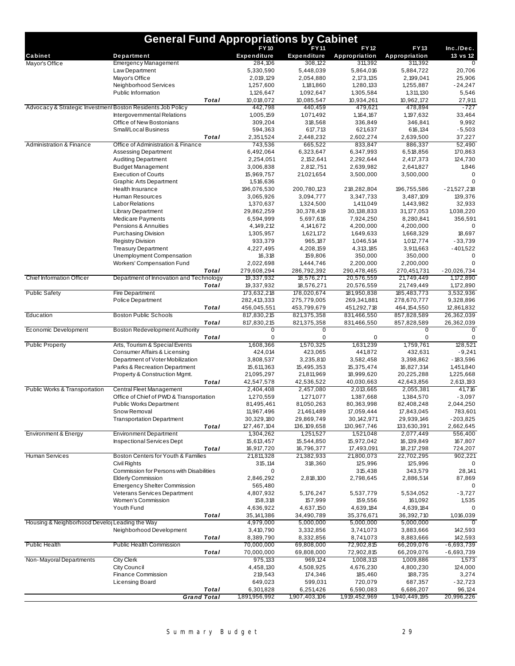|                                                             | <b>General Fund Appropriations by Cabinet</b>       |                    |                               |                               |                          |                          |                          |  |  |
|-------------------------------------------------------------|-----------------------------------------------------|--------------------|-------------------------------|-------------------------------|--------------------------|--------------------------|--------------------------|--|--|
|                                                             |                                                     |                    | <b>FY10</b>                   | <b>FY11</b>                   | <b>FY12</b>              | FY13                     | Inc./Dec.                |  |  |
| Cabinet                                                     | Department                                          |                    | Expenditure                   | <b>Expenditure</b>            | Appropriation            | Appropriation            | 13 vs 12                 |  |  |
| Mayor's Office                                              | <b>Emergency Management</b>                         |                    | 284,106                       | 308,122                       | 311,392                  | 311,392                  |                          |  |  |
|                                                             | Law Department<br>Mayor's Office                    |                    | 5,330,590<br>2,019,129        | 5,448,039<br>2,054,880        | 5,864,016<br>2, 173, 135 | 5,884,722<br>2,199,041   | 20,706<br>25,906         |  |  |
|                                                             | Neighborhood Services                               |                    | 1,257,600                     | 1,181,860                     | 1,280,133                | 1,255,887                | $-24,247$                |  |  |
|                                                             | Public Information                                  |                    | 1,126,647                     | 1,092,647                     | 1,305,584                | 1,311,130                | 5,546                    |  |  |
|                                                             |                                                     | Total              | 10,018,072                    | 10,085,547                    | 10,934,261               | 10,962,172               | 27,911                   |  |  |
| Advocacy & Strategic Investment Boston Residents Job Policy |                                                     |                    | 442,798                       | 440,459                       | 479,621                  | 478,894                  | $-727$                   |  |  |
|                                                             | Intergovernmental Relations                         |                    | 1,005,159                     | 1,071,492                     | 1, 164, 167              | 1, 197, 632              | 33,464                   |  |  |
|                                                             | Office of New Bostonians                            |                    | 309,204                       | 318,568                       | 336,849                  | 346,841                  | 9,992                    |  |  |
|                                                             | Small/Local Business                                |                    | 594,363                       | 617,713                       | 621,637                  | 616,134                  | $-5,503$                 |  |  |
|                                                             |                                                     | <b>Total</b>       | 2,351,524                     | 2,448,232                     | 2,602,274                | 2,639,500                | 37,227                   |  |  |
| <b>Administration &amp; Finance</b>                         | Office of Administration & Finance                  |                    | 743,536                       | 665,522                       | 833,847                  | 886,337                  | 52.490                   |  |  |
|                                                             | <b>Assessing Department</b>                         |                    | 6,492,064                     | 6,323,647                     | 6,347,993                | 6,518,856                | 170,863                  |  |  |
|                                                             | <b>Auditing Department</b>                          |                    | 2,254,051                     | 2, 152, 641                   | 2,292,644                | 2,417,373                | 124,730                  |  |  |
|                                                             | <b>Budget Management</b>                            |                    | 3,006,838                     | 2,812,751                     | 2,639,982                | 2,641,827                | 1,846                    |  |  |
|                                                             | <b>Execution of Courts</b>                          |                    | 15,969,757                    | 21,021,654                    | 3,500,000                | 3,500,000                | $\Omega$                 |  |  |
|                                                             | <b>Graphic Arts Department</b>                      |                    | 1,516,636                     |                               |                          |                          | $\Omega$                 |  |  |
|                                                             | Health Insurance<br><b>Human Resources</b>          |                    | 196,076,530<br>3,065,926      | 200,780,123<br>3,094,777      | 218,282,804<br>3,347,733 | 196,755,586<br>3,487,109 | $-21,527,218$<br>139,376 |  |  |
|                                                             | <b>Labor Relations</b>                              |                    | 1,370,637                     | 1,324,500                     | 1,411,049                | 1,443,982                | 32,933                   |  |  |
|                                                             | <b>Library Department</b>                           |                    | 29,862,259                    | 30,378,419                    | 30, 138, 833             | 31, 177, 053             | 1,038,220                |  |  |
|                                                             | <b>Medicare Payments</b>                            |                    | 6,594,999                     | 5,697,616                     | 7,924,250                | 8,280,841                | 356,591                  |  |  |
|                                                             | Pensions & Annuities                                |                    | 4, 149, 212                   | 4, 141, 672                   | 4,200,000                | 4,200,000                | 0                        |  |  |
|                                                             | <b>Purchasing Division</b>                          |                    | 1,305,957                     | 1,621,172                     | 1,649,633                | 1,668,329                | 18,697                   |  |  |
|                                                             | <b>Registry Division</b>                            |                    | 933,379                       | 965,187                       | 1,046,514                | 1,012,774                | $-33,739$                |  |  |
|                                                             | <b>Treasury Department</b>                          |                    | 4,227,495                     | 4,208,159                     | 4,313,185                | 3,911,663                | $-401,522$               |  |  |
|                                                             | Unemployment Compensation                           |                    | 16,318                        | 159.806                       | 350,000                  | 350,000                  | $\mathbf 0$              |  |  |
|                                                             | <b>Workers' Compensation Fund</b>                   |                    | 2,022,698                     | 1,444,746                     | 2,200,000                | 2,200,000                | $\Omega$                 |  |  |
|                                                             |                                                     | Total              | 279,608,294                   | 286,792,392                   | 290,478,465              | 270,451,731              | $-20,026,734$            |  |  |
| <b>Chief Information Officer</b>                            | Department of Innovation and Technology             |                    | 19,337,932                    | 18,576,271                    | 20,576,559               | 21,749,449               | 1,172,890                |  |  |
|                                                             |                                                     | <b>Total</b>       | 19,337,932                    | 18,576,271                    | 20,576,559               | 21,749,449               | 1,172,890                |  |  |
| <b>Public Safety</b>                                        | <b>Fire Department</b>                              |                    | 173,632,218                   | 178,020,674                   | 181,950,838              | 185,483,773              | 3,532,936                |  |  |
|                                                             | <b>Police Department</b>                            |                    | 282,413,333                   | 275,779,005                   | 269,341,881              | 278,670,777              | 9,328,896                |  |  |
|                                                             |                                                     | <b>Total</b>       | 456,045,551                   | 453,799,679                   | 451,292,718              | 464, 154, 550            | 12,861,832               |  |  |
| Education                                                   | <b>Boston Public Schools</b>                        |                    | 817,830,215                   | 821,375,358                   | 831,466,550              | 857,828,589              | 26,362,039               |  |  |
|                                                             |                                                     | <b>Total</b>       | 817,830,215                   | 821,375,358                   | 831,466,550              | 857,828,589              | 26,362,039               |  |  |
| Economic Development                                        | <b>Boston Redevelopment Authority</b>               | <b>Total</b>       | $\overline{0}$<br>$\mathbf 0$ | $\overline{0}$<br>$\mathbf 0$ | 0                        | $\overline{0}$<br>0      | $\overline{0}$<br>0      |  |  |
| <b>Public Property</b>                                      | Arts, Tourism & Special Events                      |                    | 1,608,366                     | 1,570,325                     | 1,631,239                | 1,759,761                | 128,521                  |  |  |
|                                                             | Consumer Affairs & Licensing                        |                    | 424,014                       | 423,065                       | 441,872                  | 432,631                  | $-9,241$                 |  |  |
|                                                             | Department of Voter Mobilization                    |                    | 3,808,537                     | 3,235,810                     | 3,582,458                | 3,398,862                | $-183,596$               |  |  |
|                                                             | Parks & Recreation Department                       |                    | 15,611,363                    | 15,495,353                    | 15,375,474               | 16,827,314               | 1,451,840                |  |  |
|                                                             | Property & Construction Mgmt.                       |                    | 21,095,297                    | 21,811,969                    | 18,999,620               | 20,225,288               | 1,225,668                |  |  |
|                                                             |                                                     | <b>Total</b>       | 42,547,578                    | 42,536,522                    | 40,030,663               | 42,643,856               | 2,613,193                |  |  |
| Public Works & Transportation                               | Central Fleet Management                            |                    | 2,404,408                     | 2,457,080                     | 2,013,665                | 2,055,381                | 41,716                   |  |  |
|                                                             | Office of Chief of PWD & Transportation             |                    | 1,270,559                     | 1,271,077                     | 1,387,668                | 1,384,570                | $-3,097$                 |  |  |
|                                                             | <b>Public Works Department</b>                      |                    | 81,495,461                    | 81,050,263                    | 80,363,998               | 82,408,248               | 2,044,250                |  |  |
|                                                             | Snow Removal                                        |                    | 11,967,496                    | 21,461,489                    | 17,059,444               | 17,843,045               | 783,601                  |  |  |
|                                                             | <b>Transportation Department</b>                    |                    | 30,329,180                    | 29,869,749                    | 30, 142, 971             | 29,939,146               | $-203,825$               |  |  |
|                                                             |                                                     | Total              | 127,467,104                   | 136, 109, 658                 | 130,967,746              | 133,630,391              | 2,662,645                |  |  |
| Environment & Energy                                        | <b>Environment Department</b>                       |                    | 1,304,262                     | 1,251,527                     | 1,521,048                | 2,077,449                | 556,400                  |  |  |
|                                                             | <b>Inspectional Services Dept</b>                   |                    | 15,613,457                    | 15,544,850                    | 15,972,042               | 16, 139, 849             | 167,807                  |  |  |
|                                                             |                                                     | Total              | 16,917,720                    | 16,796,377                    | 17,493,091               | 18,217,298               | 724,207<br>902,221       |  |  |
| <b>Human Services</b>                                       | Boston Centers for Youth & Families<br>Civil Rights |                    | 21,811,328<br>315,114         | 21,382,933<br>318,360         | 21,800,073<br>125,996    | 22,702,295<br>125,996    | 0                        |  |  |
|                                                             | Commission for Persons with Disabilities            |                    | 0                             |                               | 315,438                  | 343,579                  | 28,141                   |  |  |
|                                                             | <b>Elderly Commission</b>                           |                    | 2,846,292                     | 2,818,100                     | 2,798,645                | 2,886,514                | 87,869                   |  |  |
|                                                             | <b>Emergency Shelter Commission</b>                 |                    | 565,480                       |                               |                          |                          |                          |  |  |
|                                                             | Veterans Services Department                        |                    | 4,807,932                     | 5, 176, 247                   | 5,537,779                | 5,534,052                | $-3,727$                 |  |  |
|                                                             | Women's Commission                                  |                    | 158,318                       | 157,999                       | 159,556                  | 161,092                  | 1,535                    |  |  |
|                                                             | Youth Fund                                          |                    | 4,636,922                     | 4,637,150                     | 4,639,184                | 4,639,184                | 0                        |  |  |
|                                                             |                                                     | Total              | 35, 141, 386                  | 34,490,789                    | 35,376,671               | 36,392,710               | 1,016,039                |  |  |
| Housing & Neighborhood Develo  Leading the Way              |                                                     |                    | 4,979,000                     | 5,000,000                     | 5,000,000                | 5,000,000                | $\Omega$                 |  |  |
|                                                             | Neighborhood Development                            |                    | 3,410,790                     | 3,332,856                     | 3,741,073                | 3,883,666                | 142,593                  |  |  |
|                                                             |                                                     | Total              | 8,389,790                     | 8,332,856                     | 8,741,073                | 8,883,666                | 142,593                  |  |  |
| <b>Public Health</b>                                        | Public Health Commission                            |                    | 70,000,000                    | 69,808,000                    | 72,902,815               | 66,209,076               | $-6,693,739$             |  |  |
|                                                             |                                                     | Total              | 70,000,000                    | 69,808,000                    | 72,902,815               | 66,209,076               | $-6,693,739$             |  |  |
| Non-Mayoral Departments                                     | <b>City Clerk</b>                                   |                    | 975,133                       | 969,124                       | 1,008,313                | 1,009,886                | 1,573                    |  |  |
|                                                             | City Council                                        |                    | 4,458,130                     | 4,508,925                     | 4,676,230                | 4,800,230                | 124,000                  |  |  |
|                                                             | Finance Commission                                  |                    | 219,543                       | 174,346                       | 185,460                  | 188,735                  | 3,274                    |  |  |
|                                                             | Licensing Board                                     |                    | 649,023                       | 599,031                       | 720,079                  | 687,357                  | $-32,723$                |  |  |
|                                                             |                                                     | Total              | 6,301,828                     | 6,251,426                     | 6,590,083                | 6,686,207                | 96,124                   |  |  |
|                                                             |                                                     | <b>Grand Total</b> | 1,891,956,992                 | 1,907,403,106                 | 1,919,452,969            | 1,940,449,195            | 20,996,226               |  |  |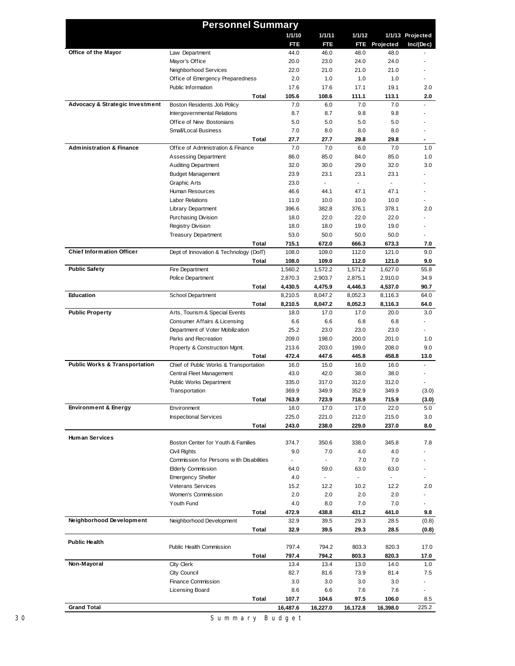|                                            | <b>Personnel Summary</b>                 |                          |                |                |               |                  |
|--------------------------------------------|------------------------------------------|--------------------------|----------------|----------------|---------------|------------------|
|                                            |                                          | 1/1/10                   | 1/1/11         | 1/1/12         |               | 1/1/13 Projected |
|                                            |                                          | FTE                      | FTE            |                | FTE Projected | Inc/(Dec)        |
| Office of the Mayor                        | Law Department                           | 44.0                     | 46.0           | 48.0           | 48.0          |                  |
|                                            | Mayor's Office                           | 20.0                     | 23.0           | 24.0           | 24.0          |                  |
|                                            | Neighborhood Services                    | 22.0                     | 21.0           | 21.0           | 21.0          |                  |
|                                            | Office of Emergency Preparedness         | 2.0                      | 1.0            | 1.0            | 1.0           |                  |
|                                            | Public Information                       | 17.6                     | 17.6           | 17.1           | 19.1          | 2.0              |
|                                            | Total                                    | 105.6                    | 108.6          | 111.1          | 113.1         | 2.0              |
| <b>Advocacy &amp; Strategic Investment</b> | Boston Residents Job Policy              | 7.0                      | 6.0            | 7.0            | 7.0           |                  |
|                                            | Intergovernmental Relations              | 8.7                      | 8.7            | 9.8            | 9.8           |                  |
|                                            | Office of New Bostonians                 | 5.0                      | 5.0            | 5.0            | 5.0           |                  |
|                                            | <b>Small/Local Business</b>              | 7.0                      | 8.0            | 8.0            | 8.0           |                  |
|                                            | Total                                    | 27.7                     | 27.7           | 29.8           | 29.8          | $\blacksquare$   |
| <b>Administration &amp; Finance</b>        | Office of Administration & Finance       | 7.0                      | 7.0            | 6.0            | 7.0           | 1.0              |
|                                            | <b>Assessing Department</b>              | 86.0                     | 85.0           | 84.0           | 85.0          | 1.0              |
|                                            | <b>Auditing Department</b>               | 32.0                     | 30.0           | 29.0           | 32.0          | 3.0              |
|                                            | <b>Budget Management</b>                 | 23.9                     | 23.1           | 23.1           | 23.1          |                  |
|                                            | <b>Graphic Arts</b>                      | 23.0                     | $\overline{a}$ | $\mathbb{Z}^+$ |               |                  |
|                                            | Human Resources                          | 46.6                     | 44.1           | 47.1           | 47.1          | ٠                |
|                                            | <b>Labor Relations</b>                   | 11.0                     | 10.0           | 10.0           | 10.0          |                  |
|                                            | <b>Library Department</b>                | 396.6                    | 382.8          | 376.1          | 378.1         | 2.0              |
|                                            | <b>Purchasing Division</b>               | 18.0                     | 22.0           | 22.0           | 22.0          |                  |
|                                            | <b>Registry Division</b>                 | 18.0                     | 18.0           | 19.0           | 19.0          |                  |
|                                            | <b>Treasury Department</b>               | 53.0                     | 50.0           | 50.0           | 50.0          |                  |
|                                            | Total                                    | 715.1                    | 672.0          | 666.3          | 673.3         | 7.0              |
| <b>Chief Information Officer</b>           | Dept of Innovation & Technology (DoIT)   | 108.0                    | 109.0          | 112.0          | 121.0         | 9.0              |
|                                            | Total                                    | 108.0                    | 109.0          | 112.0          | 121.0         | 9.0              |
| <b>Public Safety</b>                       | Fire Department                          | 1,560.2                  | 1,572.2        | 1,571.2        | 1,627.0       | 55.8             |
|                                            | Police Department                        | 2,870.3                  | 2,903.7        | 2,875.1        | 2,910.0       | 34.9             |
|                                            | Total                                    | 4,430.5                  | 4,475.9        | 4,446.3        | 4,537.0       | 90.7             |
| Education                                  | School Department                        | 8,210.5                  | 8,047.2        | 8,052.3        | 8,116.3       | 64.0             |
|                                            | Total                                    | 8,210.5                  | 8,047.2        | 8,052.3        | 8,116.3       | 64.0             |
| <b>Public Property</b>                     | Arts, Tourism & Special Events           | 18.0                     | 17.0           | 17.0           | 20.0          | 3.0              |
|                                            | Consumer Affairs & Licensing             | 6.6                      | 6.6            | 6.8            | 6.8           | ×.               |
|                                            | Department of Voter Mobilization         | 25.2                     | 23.0           | 23.0           | 23.0          |                  |
|                                            | Parks and Recreation                     | 209.0                    | 198.0          | 200.0          | 201.0         | 1.0              |
|                                            | Property & Construction Mgmt.            | 213.6                    | 203.0          | 199.0          | 208.0         | 9.0              |
|                                            | Total                                    | 472.4                    | 447.6          | 445.8          | 458.8         | 13.0<br>÷.       |
| <b>Public Works &amp; Transportation</b>   | Chief of Public Works & Transportation   | 16.0                     | 15.0           | 16.0           | 16.0          |                  |
|                                            | Central Fleet Management                 | 43.0<br>335.0            | 42.0           | 38.0           | 38.0<br>312.0 |                  |
|                                            | <b>Public Works Department</b>           |                          | 317.0          | 312.0          |               |                  |
|                                            | Transportation                           | 369.9                    | 349.9          | 352.9          | 349.9         | (3.0)            |
| <b>Environment &amp; Energy</b>            | Total<br>Environment                     | 763.9<br>18.0            | 723.9<br>17.0  | 718.9<br>17.0  | 715.9<br>22.0 | (3.0)<br>5.0     |
|                                            |                                          |                          |                |                |               |                  |
|                                            | <b>Inspectional Services</b>             | 225.0                    | 221.0          | 212.0          | 215.0         | 3.0              |
|                                            | Total                                    | 243.0                    | 238.0          | 229.0          | 237.0         | 8.0              |
| <b>Human Services</b>                      | Boston Center for Youth & Families       | 374.7                    | 350.6          | 338.0          | 345.8         | 7.8              |
|                                            | Civil Rights                             | 9.0                      | 7.0            | 4.0            | 4.0           |                  |
|                                            | Commission for Persons with Disabilities | $\overline{\phantom{a}}$ | $\blacksquare$ | 7.0            | 7.0           |                  |
|                                            | <b>Elderly Commission</b>                | 64.0                     | 59.0           | 63.0           | 63.0          |                  |
|                                            | <b>Emergency Shelter</b>                 | 4.0                      | $\blacksquare$ | $\mathbb{R}^n$ |               |                  |
|                                            | <b>Veterans Services</b>                 | 15.2                     | 12.2           | 10.2           | 12.2          | 2.0              |
|                                            | Women's Commission                       | 2.0                      | 2.0            | 2.0            | 2.0           |                  |
|                                            | Youth Fund                               | 4.0                      | 8.0            | 7.0            | 7.0           | $\sim$           |
|                                            | Total                                    | 472.9                    | 438.8          | 431.2          | 441.0         | 9.8              |
| Neighborhood Development                   | Neighborhood Development                 | 32.9                     | 39.5           | 29.3           | 28.5          | (0.8)            |
|                                            | Total                                    | 32.9                     | 39.5           | 29.3           | 28.5          | (0.8)            |
|                                            |                                          |                          |                |                |               |                  |
| <b>Public Health</b>                       | Public Health Commission                 | 797.4                    | 794.2          | 803.3          | 820.3         | 17.0             |
|                                            | Total                                    | 797.4                    | 794.2          | 803.3          | 820.3         | 17.0             |
| Non-Mayoral                                | City Clerk                               | 13.4                     | 13.4           | 13.0           | 14.0          | 1.0              |
|                                            | City Council                             | 82.7                     | 81.6           | 73.9           | 81.4          | 7.5              |
|                                            | Finance Commission                       | 3.0                      | 3.0            | 3.0            | 3.0           | $\blacksquare$   |
|                                            | Licensing Board                          | 8.6                      | 6.6            | 7.6            | 7.6           |                  |
|                                            | Total                                    | 107.7                    | 104.6          | 97.5           | 106.0         | 8.5              |
| <b>Grand Total</b>                         |                                          | 16,487.6                 | 16,227.0       | 16,172.8       | 16,398.0      | 225.2            |
|                                            |                                          |                          |                |                |               |                  |

30 Summary Budget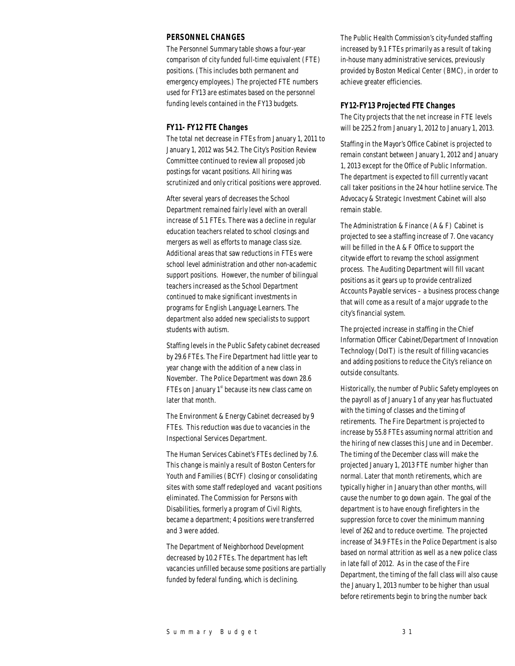### *PERSONNEL CHANGES*

The Personnel Summary table shows a four-year comparison of city funded full-time equivalent (FTE) positions. (This includes both permanent and emergency employees.) The projected FTE numbers used for FY13 are estimates based on the personnel funding levels contained in the FY13 budgets.

### *FY11- FY12 FTE Changes*

The total net decrease in FTEs from January 1, 2011 to January 1, 2012 was 54.2. The City's Position Review Committee continued to review all proposed job postings for vacant positions. All hiring was scrutinized and only critical positions were approved.

After several years of decreases the School Department remained fairly level with an overall increase of 5.1 FTEs. There was a decline in regular education teachers related to school closings and mergers as well as efforts to manage class size. Additional areas that saw reductions in FTEs were school level administration and other non-academic support positions. However, the number of bilingual teachers increased as the School Department continued to make significant investments in programs for English Language Learners. The department also added new specialists to support students with autism.

Staffing levels in the Public Safety cabinet decreased by 29.6 FTEs. The Fire Department had little year to year change with the addition of a new class in November. The Police Department was down 28.6 FTEs on January  $1<sup>st</sup>$  because its new class came on later that month.

The Environment & Energy Cabinet decreased by 9 FTEs. This reduction was due to vacancies in the Inspectional Services Department.

The Human Services Cabinet's FTEs declined by 7.6. This change is mainly a result of Boston Centers for Youth and Families (BCYF) closing or consolidating sites with some staff redeployed and vacant positions eliminated. The Commission for Persons with Disabilities, formerly a program of Civil Rights, became a department; 4 positions were transferred and 3 were added.

The Department of Neighborhood Development decreased by 10.2 FTEs. The department has left vacancies unfilled because some positions are partially funded by federal funding, which is declining.

The Public Health Commission's city-funded staffing increased by 9.1 FTEs primarily as a result of taking in-house many administrative services, previously provided by Boston Medical Center (BMC), in order to achieve greater efficiencies.

### *FY12-FY13 Projected FTE Changes*

The City projects that the net increase in FTE levels will be 225.2 from January 1, 2012 to January 1, 2013.

Staffing in the Mayor's Office Cabinet is projected to remain constant between January 1, 2012 and January 1, 2013 except for the Office of Public Information. The department is expected to fill currently vacant call taker positions in the 24 hour hotline service. The Advocacy & Strategic Investment Cabinet will also remain stable.

The Administration & Finance (A & F) Cabinet is projected to see a staffing increase of 7. One vacancy will be filled in the A & F Office to support the citywide effort to revamp the school assignment process. The Auditing Department will fill vacant positions as it gears up to provide centralized Accounts Payable services – a business process change that will come as a result of a major upgrade to the city's financial system.

The projected increase in staffing in the Chief Information Officer Cabinet/Department of Innovation Technology (DoIT) is the result of filling vacancies and adding positions to reduce the City's reliance on outside consultants.

Historically, the number of Public Safety employees on the payroll as of January 1 of any year has fluctuated with the timing of classes and the timing of retirements. The Fire Department is projected to increase by 55.8 FTEs assuming normal attrition and the hiring of new classes this June and in December. The timing of the December class will make the projected January 1, 2013 FTE number higher than normal. Later that month retirements, which are typically higher in January than other months, will cause the number to go down again. The goal of the department is to have enough firefighters in the suppression force to cover the minimum manning level of 262 and to reduce overtime. The projected increase of 34.9 FTEs in the Police Department is also based on normal attrition as well as a new police class in late fall of 2012. As in the case of the Fire Department, the timing of the fall class will also cause the January 1, 2013 number to be higher than usual before retirements begin to bring the number back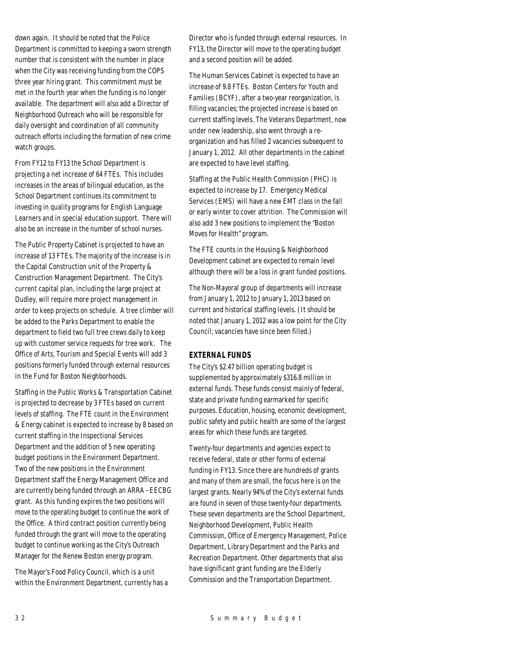down again. It should be noted that the Police Department is committed to keeping a sworn strength number that is consistent with the number in place when the City was receiving funding from the COPS three year hiring grant. This commitment must be met in the fourth year when the funding is no longer available. The department will also add a Director of Neighborhood Outreach who will be responsible for daily oversight and coordination of all community outreach efforts including the formation of new crime watch groups.

From FY12 to FY13 the School Department is projecting a net increase of 64 FTEs. This includes increases in the areas of bilingual education, as the School Department continues its commitment to investing in quality programs for English Language Learners and in special education support. There will also be an increase in the number of school nurses.

The Public Property Cabinet is projected to have an increase of 13 FTEs. The majority of the increase is in the Capital Construction unit of the Property & Construction Management Department. The City's current capital plan, including the large project at Dudley, will require more project management in order to keep projects on schedule. A tree climber will be added to the Parks Department to enable the department to field two full tree crews daily to keep up with customer service requests for tree work. The Office of Arts, Tourism and Special Events will add 3 positions formerly funded through external resources in the Fund for Boston Neighborhoods.

Staffing in the Public Works & Transportation Cabinet is projected to decrease by 3 FTEs based on current levels of staffing. The FTE count in the Environment & Energy cabinet is expected to increase by 8 based on current staffing in the Inspectional Services Department and the addition of 5 new operating budget positions in the Environment Department. Two of the new positions in the Environment Department staff the Energy Management Office and are currently being funded through an ARRA –EECBG grant. As this funding expires the two positions will move to the operating budget to continue the work of the Office. A third contract position currently being funded through the grant will move to the operating budget to continue working as the City's Outreach Manager for the Renew Boston energy program.

The Mayor's Food Policy Council, which is a unit within the Environment Department, currently has a Director who is funded through external resources. In FY13, the Director will move to the operating budget and a second position will be added.

The Human Services Cabinet is expected to have an increase of 9.8 FTEs. Boston Centers for Youth and Families (BCYF), after a two-year reorganization, is filling vacancies; the projected increase is based on current staffing levels. The Veterans Department, now under new leadership, also went through a reorganization and has filled 2 vacancies subsequent to January 1, 2012. All other departments in the cabinet are expected to have level staffing.

Staffing at the Public Health Commission (PHC) is expected to increase by 17. Emergency Medical Services (EMS) will have a new EMT class in the fall or early winter to cover attrition. The Commission will also add 3 new positions to implement the "Boston Moves for Health" program.

The FTE counts in the Housing & Neighborhood Development cabinet are expected to remain level although there will be a loss in grant funded positions.

The Non-Mayoral group of departments will increase from January 1, 2012 to January 1, 2013 based on current and historical staffing levels. (It should be noted that January 1, 2012 was a low point for the City Council; vacancies have since been filled.)

### *EXTERNAL FUNDS*

The City's \$2.47 billion operating budget is supplemented by approximately \$316.8 million in external funds. These funds consist mainly of federal, state and private funding earmarked for specific purposes. Education, housing, economic development, public safety and public health are some of the largest areas for which these funds are targeted.

Twenty-four departments and agencies expect to receive federal, state or other forms of external funding in FY13. Since there are hundreds of grants and many of them are small, the focus here is on the largest grants. Nearly 94% of the City's external funds are found in seven of those twenty-four departments. These seven departments are the School Department, Neighborhood Development, Public Health Commission, Office of Emergency Management, Police Department, Library Department and the Parks and Recreation Department. Other departments that also have significant grant funding are the Elderly Commission and the Transportation Department.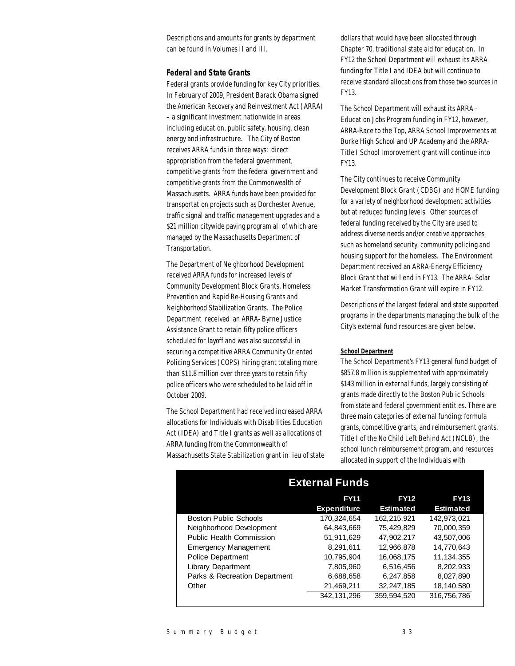Descriptions and amounts for grants by department can be found in Volumes II and III.

#### *Federal and State Grants*

Federal grants provide funding for key City priorities. In February of 2009, President Barack Obama signed the American Recovery and Reinvestment Act (ARRA) – a significant investment nationwide in areas including education, public safety, housing, clean energy and infrastructure. The City of Boston receives ARRA funds in three ways: direct appropriation from the federal government, competitive grants from the federal government and competitive grants from the Commonwealth of Massachusetts. ARRA funds have been provided for transportation projects such as Dorchester Avenue, traffic signal and traffic management upgrades and a \$21 million citywide paving program all of which are managed by the Massachusetts Department of Transportation.

The Department of Neighborhood Development received ARRA funds for increased levels of Community Development Block Grants, Homeless Prevention and Rapid Re-Housing Grants and Neighborhood Stabilization Grants. The Police Department received an ARRA- Byrne Justice Assistance Grant to retain fifty police officers scheduled for layoff and was also successful in securing a competitive ARRA Community Oriented Policing Services (COPS) hiring grant totaling more than \$11.8 million over three years to retain fifty police officers who were scheduled to be laid off in October 2009.

The School Department had received increased ARRA allocations for Individuals with Disabilities Education Act (IDEA) and Title I grants as well as allocations of ARRA funding from the Commonwealth of Massachusetts State Stabilization grant in lieu of state dollars that would have been allocated through Chapter 70, traditional state aid for education. In FY12 the School Department will exhaust its ARRA funding for Title I and IDEA but will continue to receive standard allocations from those two sources in FY13.

The School Department will exhaust its ARRA – Education Jobs Program funding in FY12, however, ARRA-Race to the Top, ARRA School Improvements at Burke High School and UP Academy and the ARRA-Title I School Improvement grant will continue into FY13.

The City continues to receive Community Development Block Grant (CDBG) and HOME funding for a variety of neighborhood development activities but at reduced funding levels. Other sources of federal funding received by the City are used to address diverse needs and/or creative approaches such as homeland security, community policing and housing support for the homeless. The Environment Department received an ARRA-Energy Efficiency Block Grant that will end in FY13. The ARRA- Solar Market Transformation Grant will expire in FY12.

Descriptions of the largest federal and state supported programs in the departments managing the bulk of the City's external fund resources are given below.

#### *School Department*

The School Department's FY13 general fund budget of \$857.8 million is supplemented with approximately \$143 million in external funds, largely consisting of grants made directly to the Boston Public Schools from state and federal government entities. There are three main categories of external funding: formula grants, competitive grants, and reimbursement grants. Title I of the No Child Left Behind Act (NCLB), the school lunch reimbursement program, and resources allocated in support of the Individuals with

| <b>External Funds</b>           |                    |                  |                  |  |  |  |
|---------------------------------|--------------------|------------------|------------------|--|--|--|
|                                 | <b>FY11</b>        | <b>FY12</b>      | <b>FY13</b>      |  |  |  |
|                                 | <b>Expenditure</b> | <b>Estimated</b> | <b>Estimated</b> |  |  |  |
| <b>Boston Public Schools</b>    | 170,324,654        | 162,215,921      | 142.973.021      |  |  |  |
| Neighborhood Development        | 64.843.669         | 75.429.829       | 70.000.359       |  |  |  |
| <b>Public Health Commission</b> | 51.911.629         | 47.902.217       | 43.507.006       |  |  |  |
| <b>Emergency Management</b>     | 8.291.611          | 12.966.878       | 14,770,643       |  |  |  |
| <b>Police Department</b>        | 10.795.904         | 16.068.175       | 11.134.355       |  |  |  |
| <b>Library Department</b>       | 7.805.960          | 6.516.456        | 8.202.933        |  |  |  |
| Parks & Recreation Department   | 6,688,658          | 6,247,858        | 8,027,890        |  |  |  |
| Other                           | 21,469,211         | 32.247.185       | 18,140,580       |  |  |  |
|                                 | 342.131.296        | 359.594.520      | 316,756,786      |  |  |  |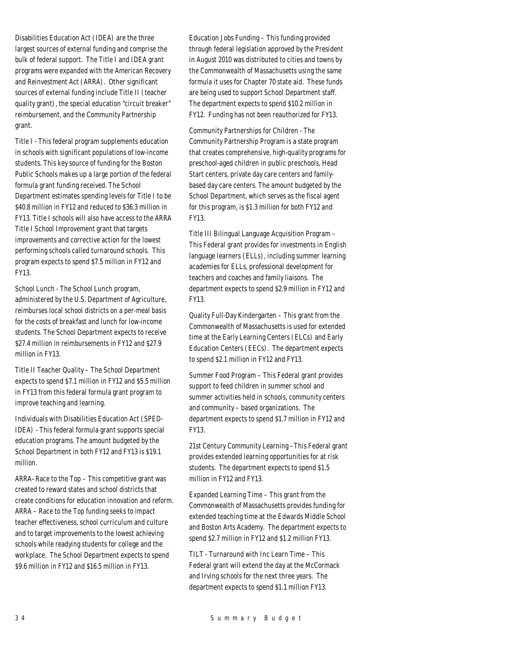Disabilities Education Act (IDEA) are the three largest sources of external funding and comprise the bulk of federal support. The Title I and IDEA grant programs were expanded with the American Recovery and Reinvestment Act (ARRA). Other significant sources of external funding include Title II (teacher quality grant), the special education "circuit breaker" reimbursement, and the Community Partnership grant.

Title I - This federal program supplements education in schools with significant populations of low-income students. This key source of funding for the Boston Public Schools makes up a large portion of the federal formula grant funding received. The School Department estimates spending levels for Title I to be \$40.8 million in FY12 and reduced to \$36.3 million in FY13. Title I schools will also have access to the ARRA Title I School Improvement grant that targets improvements and corrective action for the lowest performing schools called turnaround schools. This program expects to spend \$7.5 million in FY12 and FY13.

School Lunch - The School Lunch program, administered by the U.S. Department of Agriculture, reimburses local school districts on a per-meal basis for the costs of breakfast and lunch for low-income students. The School Department expects to receive \$27.4 million in reimbursements in FY12 and \$27.9 million in FY13.

Title II Teacher Quality – The School Department expects to spend \$7.1 million in FY12 and \$5.5 million in FY13 from this federal formula grant program to improve teaching and learning.

Individuals with Disabilities Education Act (SPED-IDEA) - This federal formula grant supports special education programs. The amount budgeted by the School Department in both FY12 and FY13 is \$19.1 million.

ARRA–Race to the Top – This competitive grant was created to reward states and school districts that create conditions for education innovation and reform. ARRA – Race to the Top funding seeks to impact teacher effectiveness, school curriculum and culture and to target improvements to the lowest achieving schools while readying students for college and the workplace. The School Department expects to spend \$9.6 million in FY12 and \$16.5 million in FY13.

Education Jobs Funding – This funding provided through federal legislation approved by the President in August 2010 was distributed to cities and towns by the Commonwealth of Massachusetts using the same formula it uses for Chapter 70 state aid. These funds are being used to support School Department staff. The department expects to spend \$10.2 million in FY12. Funding has not been reauthorized for FY13.

Community Partnerships for Children - The Community Partnership Program is a state program that creates comprehensive, high-quality programs for preschool-aged children in public preschools, Head Start centers, private day care centers and familybased day care centers. The amount budgeted by the School Department, which serves as the fiscal agent for this program, is \$1.3 million for both FY12 and FY13.

Title III Bilingual Language Acquisition Program – This Federal grant provides for investments in English language learners (ELLs), including summer learning academies for ELLs, professional development for teachers and coaches and family liaisons. The department expects to spend \$2.9 million in FY12 and FY13.

Quality Full-Day Kindergarten – This grant from the Commonwealth of Massachusetts is used for extended time at the Early Learning Centers (ELCs) and Early Education Centers (EECs). The department expects to spend \$2.1 million in FY12 and FY13.

Summer Food Program – This Federal grant provides support to feed children in summer school and summer activities held in schools, community centers and community – based organizations. The department expects to spend \$1.7 million in FY12 and FY13.

21st Century Community Learning –This Federal grant provides extended learning opportunities for at risk students. The department expects to spend \$1.5 million in FY12 and FY13.

Expanded Learning Time – This grant from the Commonwealth of Massachusetts provides funding for extended teaching time at the Edwards Middle School and Boston Arts Academy. The department expects to spend \$2.7 million in FY12 and \$1.2 million FY13.

TILT - Turnaround with Inc Learn Time – This Federal grant will extend the day at the McCormack and Irving schools for the next three years. The department expects to spend \$1.1 million FY13.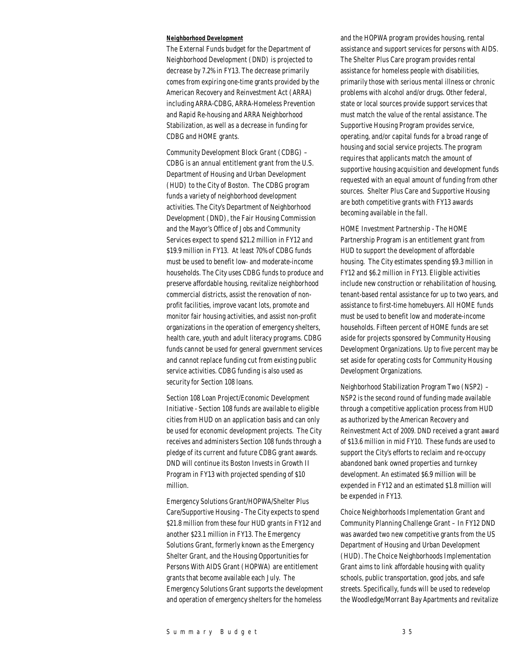#### *Neighborhood Development*

The External Funds budget for the Department of Neighborhood Development (DND) is projected to decrease by 7.2% in FY13. The decrease primarily comes from expiring one-time grants provided by the American Recovery and Reinvestment Act (ARRA) including ARRA-CDBG, ARRA-Homeless Prevention and Rapid Re-housing and ARRA Neighborhood Stabilization, as well as a decrease in funding for CDBG and HOME grants.

Community Development Block Grant (CDBG) – CDBG is an annual entitlement grant from the U.S. Department of Housing and Urban Development (HUD) to the City of Boston. The CDBG program funds a variety of neighborhood development activities. The City's Department of Neighborhood Development (DND), the Fair Housing Commission and the Mayor's Office of Jobs and Community Services expect to spend \$21.2 million in FY12 and \$19.9 million in FY13. At least 70% of CDBG funds must be used to benefit low- and moderate-income households. The City uses CDBG funds to produce and preserve affordable housing, revitalize neighborhood commercial districts, assist the renovation of nonprofit facilities, improve vacant lots, promote and monitor fair housing activities, and assist non-profit organizations in the operation of emergency shelters, health care, youth and adult literacy programs. CDBG funds cannot be used for general government services and cannot replace funding cut from existing public service activities. CDBG funding is also used as security for Section 108 loans.

Section 108 Loan Project/Economic Development Initiative - Section 108 funds are available to eligible cities from HUD on an application basis and can only be used for economic development projects. The City receives and administers Section 108 funds through a pledge of its current and future CDBG grant awards. DND will continue its Boston Invests in Growth II Program in FY13 with projected spending of \$10 million.

Emergency Solutions Grant/HOPWA/Shelter Plus Care/Supportive Housing - The City expects to spend \$21.8 million from these four HUD grants in FY12 and another \$23.1 million in FY13. The Emergency Solutions Grant, formerly known as the Emergency Shelter Grant, and the Housing Opportunities for Persons With AIDS Grant (HOPWA) are entitlement grants that become available each July. The Emergency Solutions Grant supports the development and operation of emergency shelters for the homeless

and the HOPWA program provides housing, rental assistance and support services for persons with AIDS. The Shelter Plus Care program provides rental assistance for homeless people with disabilities, primarily those with serious mental illness or chronic problems with alcohol and/or drugs. Other federal, state or local sources provide support services that must match the value of the rental assistance. The Supportive Housing Program provides service, operating, and/or capital funds for a broad range of housing and social service projects. The program requires that applicants match the amount of supportive housing acquisition and development funds requested with an equal amount of funding from other sources. Shelter Plus Care and Supportive Housing are both competitive grants with FY13 awards becoming available in the fall.

HOME Investment Partnership - The HOME Partnership Program is an entitlement grant from HUD to support the development of affordable housing. The City estimates spending \$9.3 million in FY12 and \$6.2 million in FY13. Eligible activities include new construction or rehabilitation of housing, tenant-based rental assistance for up to two years, and assistance to first-time homebuyers. All HOME funds must be used to benefit low and moderate-income households. Fifteen percent of HOME funds are set aside for projects sponsored by Community Housing Development Organizations. Up to five percent may be set aside for operating costs for Community Housing Development Organizations.

Neighborhood Stabilization Program Two (NSP2) – NSP2 is the second round of funding made available through a competitive application process from HUD as authorized by the American Recovery and Reinvestment Act of 2009. DND received a grant award of \$13.6 million in mid FY10. These funds are used to support the City's efforts to reclaim and re-occupy abandoned bank owned properties and turnkey development. An estimated \$6.9 million will be expended in FY12 and an estimated \$1.8 million will be expended in FY13.

Choice Neighborhoods Implementation Grant and Community Planning Challenge Grant – In FY12 DND was awarded two new competitive grants from the US Department of Housing and Urban Development (HUD). The Choice Neighborhoods Implementation Grant aims to link affordable housing with quality schools, public transportation, good jobs, and safe streets. Specifically, funds will be used to redevelop the Woodledge/Morrant Bay Apartments and revitalize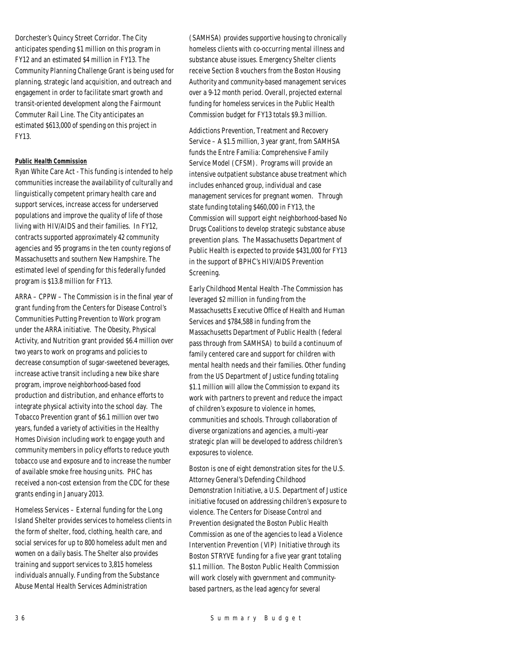Dorchester's Quincy Street Corridor. The City anticipates spending \$1 million on this program in FY12 and an estimated \$4 million in FY13. The Community Planning Challenge Grant is being used for planning, strategic land acquisition, and outreach and engagement in order to facilitate smart growth and transit-oriented development along the Fairmount Commuter Rail Line. The City anticipates an estimated \$613,000 of spending on this project in FY13.

### *Public Health Commission*

Ryan White Care Act - This funding is intended to help communities increase the availability of culturally and linguistically competent primary health care and support services, increase access for underserved populations and improve the quality of life of those living with HIV/AIDS and their families. In FY12, contracts supported approximately 42 community agencies and 95 programs in the ten county regions of Massachusetts and southern New Hampshire. The estimated level of spending for this federally funded program is \$13.8 million for FY13.

ARRA – CPPW – The Commission is in the final year of grant funding from the Centers for Disease Control's Communities Putting Prevention to Work program under the ARRA initiative. The Obesity, Physical Activity, and Nutrition grant provided \$6.4 million over two years to work on programs and policies to decrease consumption of sugar-sweetened beverages, increase active transit including a new bike share program, improve neighborhood-based food production and distribution, and enhance efforts to integrate physical activity into the school day. The Tobacco Prevention grant of \$6.1 million over two years, funded a variety of activities in the Healthy Homes Division including work to engage youth and community members in policy efforts to reduce youth tobacco use and exposure and to increase the number of available smoke free housing units. PHC has received a non-cost extension from the CDC for these grants ending in January 2013.

Homeless Services – External funding for the Long Island Shelter provides services to homeless clients in the form of shelter, food, clothing, health care, and social services for up to 800 homeless adult men and women on a daily basis. The Shelter also provides training and support services to 3,815 homeless individuals annually. Funding from the Substance Abuse Mental Health Services Administration

(SAMHSA) provides supportive housing to chronically homeless clients with co-occurring mental illness and substance abuse issues. Emergency Shelter clients receive Section 8 vouchers from the Boston Housing Authority and community-based management services over a 9-12 month period. Overall, projected external funding for homeless services in the Public Health Commission budget for FY13 totals \$9.3 million.

Addictions Prevention, Treatment and Recovery Service – A \$1.5 million, 3 year grant, from SAMHSA funds the Entre Familia: Comprehensive Family Service Model (CFSM). Programs will provide an intensive outpatient substance abuse treatment which includes enhanced group, individual and case management services for pregnant women. Through state funding totaling \$460,000 in FY13, the Commission will support eight neighborhood-based No Drugs Coalitions to develop strategic substance abuse prevention plans. The Massachusetts Department of Public Health is expected to provide \$431,000 for FY13 in the support of BPHC's HIV/AIDS Prevention Screening.

Early Childhood Mental Health -The Commission has leveraged \$2 million in funding from the Massachusetts Executive Office of Health and Human Services and \$784,588 in funding from the Massachusetts Department of Public Health (federal pass through from SAMHSA) to build a continuum of family centered care and support for children with mental health needs and their families. Other funding from the US Department of Justice funding totaling \$1.1 million will allow the Commission to expand its work with partners to prevent and reduce the impact of children's exposure to violence in homes, communities and schools. Through collaboration of diverse organizations and agencies, a multi-year strategic plan will be developed to address children's exposures to violence.

Boston is one of eight demonstration sites for the U.S. Attorney General's Defending Childhood Demonstration Initiative, a U.S. Department of Justice initiative focused on addressing children's exposure to violence. The Centers for Disease Control and Prevention designated the Boston Public Health Commission as one of the agencies to lead a Violence Intervention Prevention (VIP) Initiative through its Boston STRYVE funding for a five year grant totaling \$1.1 million. The Boston Public Health Commission will work closely with government and communitybased partners, as the lead agency for several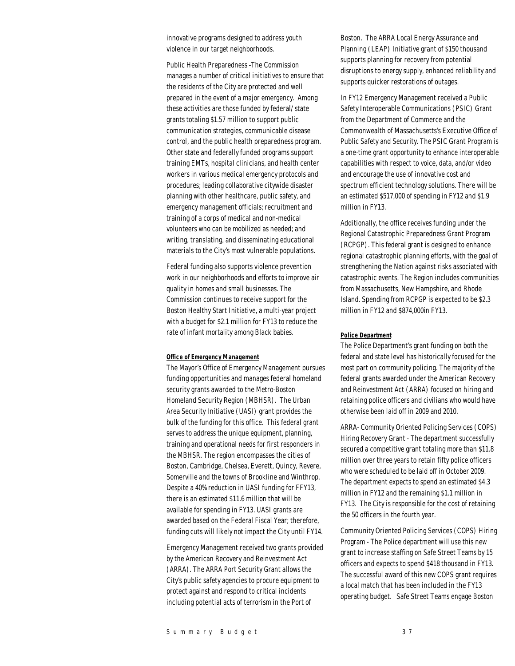innovative programs designed to address youth violence in our target neighborhoods.

Public Health Preparedness -The Commission manages a number of critical initiatives to ensure that the residents of the City are protected and well prepared in the event of a major emergency. Among these activities are those funded by federal/ state grants totaling \$1.57 million to support public communication strategies, communicable disease control, and the public health preparedness program. Other state and federally funded programs support training EMTs, hospital clinicians, and health center workers in various medical emergency protocols and procedures; leading collaborative citywide disaster planning with other healthcare, public safety, and emergency management officials; recruitment and training of a corps of medical and non-medical volunteers who can be mobilized as needed; and writing, translating, and disseminating educational materials to the City's most vulnerable populations.

Federal funding also supports violence prevention work in our neighborhoods and efforts to improve air quality in homes and small businesses. The Commission continues to receive support for the Boston Healthy Start Initiative, a multi-year project with a budget for \$2.1 million for FY13 to reduce the rate of infant mortality among Black babies.

#### *Office of Emergency Management*

The Mayor's Office of Emergency Management pursues funding opportunities and manages federal homeland security grants awarded to the Metro-Boston Homeland Security Region (MBHSR). The Urban Area Security Initiative (UASI) grant provides the bulk of the funding for this office. This federal grant serves to address the unique equipment, planning, training and operational needs for first responders in the MBHSR. The region encompasses the cities of Boston, Cambridge, Chelsea, Everett, Quincy, Revere, Somerville and the towns of Brookline and Winthrop. Despite a 40% reduction in UASI funding for FFY13, there is an estimated \$11.6 million that will be available for spending in FY13. UASI grants are awarded based on the Federal Fiscal Year; therefore, funding cuts will likely not impact the City until FY14.

Emergency Management received two grants provided by the American Recovery and Reinvestment Act (ARRA). The ARRA Port Security Grant allows the City's public safety agencies to procure equipment to protect against and respond to critical incidents including potential acts of terrorism in the Port of

Boston. The ARRA Local Energy Assurance and Planning (LEAP) Initiative grant of \$150 thousand supports planning for recovery from potential disruptions to energy supply, enhanced reliability and supports quicker restorations of outages.

In FY12 Emergency Management received a Public Safety Interoperable Communications (PSIC) Grant from the Department of Commerce and the Commonwealth of Massachusetts's Executive Office of Public Safety and Security. The PSIC Grant Program is a one-time grant opportunity to enhance interoperable capabilities with respect to voice, data, and/or video and encourage the use of innovative cost and spectrum efficient technology solutions. There will be an estimated \$517,000 of spending in FY12 and \$1.9 million in FY13.

Additionally, the office receives funding under the Regional Catastrophic Preparedness Grant Program (RCPGP). This federal grant is designed to enhance regional catastrophic planning efforts, with the goal of strengthening the Nation against risks associated with catastrophic events. The Region includes communities from Massachusetts, New Hampshire, and Rhode Island. Spending from RCPGP is expected to be \$2.3 million in FY12 and \$874,000in FY13.

#### *Police Department*

The Police Department's grant funding on both the federal and state level has historically focused for the most part on community policing. The majority of the federal grants awarded under the American Recovery and Reinvestment Act (ARRA) focused on hiring and retaining police officers and civilians who would have otherwise been laid off in 2009 and 2010.

ARRA- Community Oriented Policing Services (COPS) Hiring Recovery Grant - The department successfully secured a competitive grant totaling more than \$11.8 million over three years to retain fifty police officers who were scheduled to be laid off in October 2009. The department expects to spend an estimated \$4.3 million in FY12 and the remaining \$1.1 million in FY13. The City is responsible for the cost of retaining the 50 officers in the fourth year.

Community Oriented Policing Services (COPS) Hiring Program - The Police department will use this new grant to increase staffing on Safe Street Teams by 15 officers and expects to spend \$418 thousand in FY13. The successful award of this new COPS grant requires a local match that has been included in the FY13 operating budget. Safe Street Teams engage Boston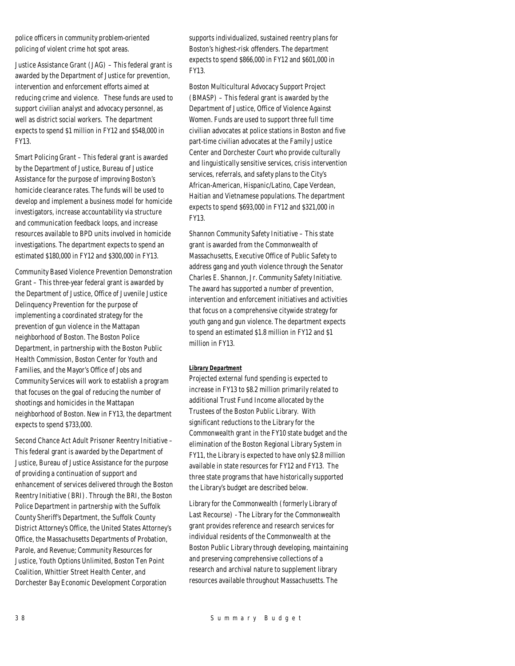police officers in community problem-oriented policing of violent crime hot spot areas.

Justice Assistance Grant (JAG) – This federal grant is awarded by the Department of Justice for prevention, intervention and enforcement efforts aimed at reducing crime and violence. These funds are used to support civilian analyst and advocacy personnel, as well as district social workers. The department expects to spend \$1 million in FY12 and \$548,000 in FY13.

Smart Policing Grant – This federal grant is awarded by the Department of Justice, Bureau of Justice Assistance for the purpose of improving Boston's homicide clearance rates. The funds will be used to develop and implement a business model for homicide investigators, increase accountability via structure and communication feedback loops, and increase resources available to BPD units involved in homicide investigations. The department expects to spend an estimated \$180,000 in FY12 and \$300,000 in FY13.

Community Based Violence Prevention Demonstration Grant – This three-year federal grant is awarded by the Department of Justice, Office of Juvenile Justice Delinquency Prevention for the purpose of implementing a coordinated strategy for the prevention of gun violence in the Mattapan neighborhood of Boston. The Boston Police Department, in partnership with the Boston Public Health Commission, Boston Center for Youth and Families, and the Mayor's Office of Jobs and Community Services will work to establish a program that focuses on the goal of reducing the number of shootings and homicides in the Mattapan neighborhood of Boston. New in FY13, the department expects to spend \$733,000.

Second Chance Act Adult Prisoner Reentry Initiative – This federal grant is awarded by the Department of Justice, Bureau of Justice Assistance for the purpose of providing a continuation of support and enhancement of services delivered through the Boston Reentry Initiative (BRI). Through the BRI, the Boston Police Department in partnership with the Suffolk County Sheriff's Department, the Suffolk County District Attorney's Office, the United States Attorney's Office, the Massachusetts Departments of Probation, Parole, and Revenue; Community Resources for Justice, Youth Options Unlimited, Boston Ten Point Coalition, Whittier Street Health Center, and Dorchester Bay Economic Development Corporation

supports individualized, sustained reentry plans for Boston's highest-risk offenders. The department expects to spend \$866,000 in FY12 and \$601,000 in FY13.

Boston Multicultural Advocacy Support Project (BMASP) – This federal grant is awarded by the Department of Justice, Office of Violence Against Women. Funds are used to support three full time civilian advocates at police stations in Boston and five part-time civilian advocates at the Family Justice Center and Dorchester Court who provide culturally and linguistically sensitive services, crisis intervention services, referrals, and safety plans to the City's African-American, Hispanic/Latino, Cape Verdean, Haitian and Vietnamese populations. The department expects to spend \$693,000 in FY12 and \$321,000 in FY13.

Shannon Community Safety Initiative – This state grant is awarded from the Commonwealth of Massachusetts, Executive Office of Public Safety to address gang and youth violence through the Senator Charles E. Shannon, Jr. Community Safety Initiative. The award has supported a number of prevention, intervention and enforcement initiatives and activities that focus on a comprehensive citywide strategy for youth gang and gun violence. The department expects to spend an estimated \$1.8 million in FY12 and \$1 million in FY13.

#### *Library Department*

Projected external fund spending is expected to increase in FY13 to \$8.2 million primarily related to additional Trust Fund Income allocated by the Trustees of the Boston Public Library. With significant reductions to the Library for the Commonwealth grant in the FY10 state budget and the elimination of the Boston Regional Library System in FY11, the Library is expected to have only \$2.8 million available in state resources for FY12 and FY13. The three state programs that have historically supported the Library's budget are described below.

Library for the Commonwealth (formerly Library of Last Recourse) - The Library for the Commonwealth grant provides reference and research services for individual residents of the Commonwealth at the Boston Public Library through developing, maintaining and preserving comprehensive collections of a research and archival nature to supplement library resources available throughout Massachusetts. The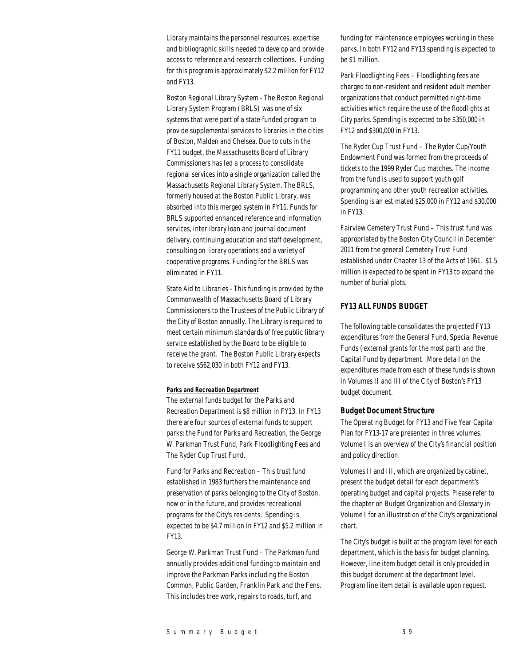Library maintains the personnel resources, expertise and bibliographic skills needed to develop and provide access to reference and research collections. Funding for this program is approximately \$2.2 million for FY12 and FY13.

Boston Regional Library System - The Boston Regional Library System Program (BRLS) was one of six systems that were part of a state-funded program to provide supplemental services to libraries in the cities of Boston, Malden and Chelsea. Due to cuts in the FY11 budget, the Massachusetts Board of Library Commissioners has led a process to consolidate regional services into a single organization called the Massachusetts Regional Library System. The BRLS, formerly housed at the Boston Public Library, was absorbed into this merged system in FY11. Funds for BRLS supported enhanced reference and information services, interlibrary loan and journal document delivery, continuing education and staff development, consulting on library operations and a variety of cooperative programs. Funding for the BRLS was eliminated in FY11.

State Aid to Libraries - This funding is provided by the Commonwealth of Massachusetts Board of Library Commissioners to the Trustees of the Public Library of the City of Boston annually. The Library is required to meet certain minimum standards of free public library service established by the Board to be eligible to receive the grant. The Boston Public Library expects to receive \$562,030 in both FY12 and FY13.

#### *Parks and Recreation Department*

The external funds budget for the Parks and Recreation Department is \$8 million in FY13. In FY13 there are four sources of external funds to support parks: the Fund for Parks and Recreation, the George W. Parkman Trust Fund, Park Floodlighting Fees and The Ryder Cup Trust Fund.

Fund for Parks and Recreation – This trust fund established in 1983 furthers the maintenance and preservation of parks belonging to the City of Boston, now or in the future, and provides recreational programs for the City's residents. Spending is expected to be \$4.7 million in FY12 and \$5.2 million in FY13.

George W. Parkman Trust Fund – The Parkman fund annually provides additional funding to maintain and improve the Parkman Parks including the Boston Common, Public Garden, Franklin Park and the Fens. This includes tree work, repairs to roads, turf, and

funding for maintenance employees working in these parks. In both FY12 and FY13 spending is expected to be \$1 million.

Park Floodlighting Fees – Floodlighting fees are charged to non-resident and resident adult member organizations that conduct permitted night-time activities which require the use of the floodlights at City parks. Spending is expected to be \$350,000 in FY12 and \$300,000 in FY13.

The Ryder Cup Trust Fund – The Ryder Cup/Youth Endowment Fund was formed from the proceeds of tickets to the 1999 Ryder Cup matches. The income from the fund is used to support youth golf programming and other youth recreation activities. Spending is an estimated \$25,000 in FY12 and \$30,000 in FY13.

Fairview Cemetery Trust Fund – This trust fund was appropriated by the Boston City Council in December 2011 from the general Cemetery Trust Fund established under Chapter 13 of the Acts of 1961. \$1.5 million is expected to be spent in FY13 to expand the number of burial plots.

### *FY13 ALL FUNDS BUDGET*

The following table consolidates the projected FY13 expenditures from the General Fund, Special Revenue Funds (external grants for the most part) and the Capital Fund by department. More detail on the expenditures made from each of these funds is shown in Volumes II and III of the City of Boston's FY13 budget document.

### *Budget Document Structure*

The Operating Budget for FY13 and Five Year Capital Plan for FY13-17 are presented in three volumes. Volume I is an overview of the City's financial position and policy direction.

Volumes II and III, which are organized by cabinet, present the budget detail for each department's operating budget and capital projects. Please refer to the chapter on Budget Organization and Glossary in Volume I for an illustration of the City's organizational chart.

The City's budget is built at the program level for each department, which is the basis for budget planning. However, line item budget detail is only provided in this budget document at the department level. Program line item detail is available upon request.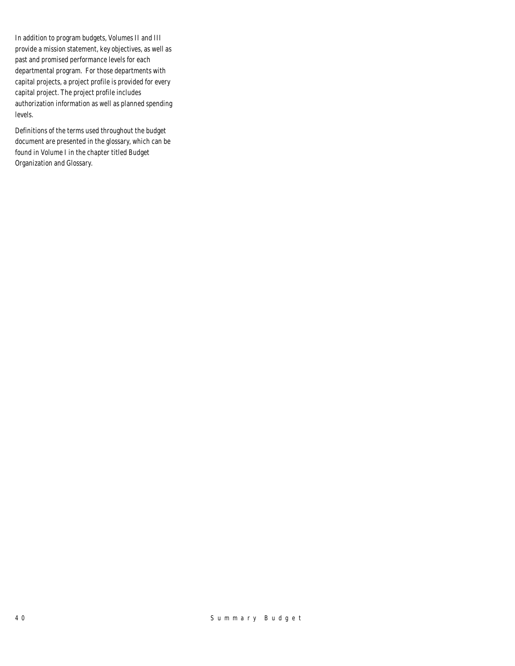In addition to program budgets, Volumes II and III provide a mission statement, key objectives, as well as past and promised performance levels for each departmental program. For those departments with capital projects, a project profile is provided for every capital project. The project profile includes authorization information as well as planned spending levels.

Definitions of the terms used throughout the budget document are presented in the glossary, which can be found in Volume I in the chapter titled Budget Organization and Glossary.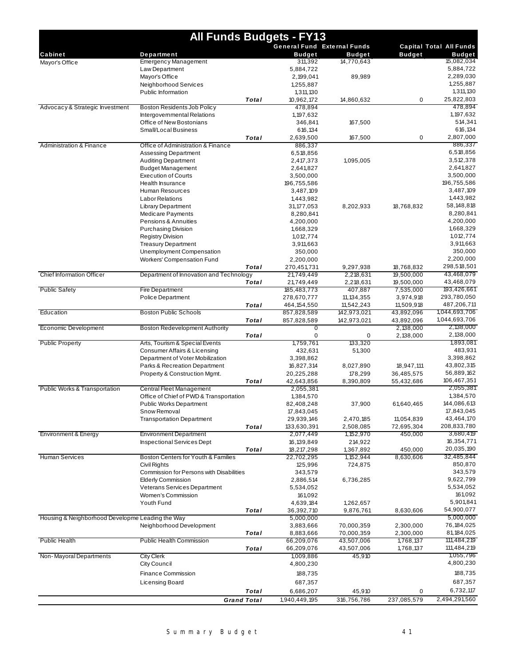|                                                  | <b>All Funds Budgets - FY13</b>                 |                    |                       |                                    |               |                                |  |  |  |
|--------------------------------------------------|-------------------------------------------------|--------------------|-----------------------|------------------------------------|---------------|--------------------------------|--|--|--|
|                                                  |                                                 |                    |                       | <b>General Fund External Funds</b> |               | <b>Capital Total All Funds</b> |  |  |  |
| Cabinet                                          | Department                                      |                    | <b>Budget</b>         | <b>Budget</b>                      | <b>Budget</b> | <b>Budget</b>                  |  |  |  |
| Mayor's Office                                   | Emergency Management                            |                    | 311,392               | 14,770,643                         |               | 15,082,034                     |  |  |  |
|                                                  | Law Department                                  |                    | 5,884,722             |                                    |               | 5,884,722                      |  |  |  |
|                                                  | Mayor's Office                                  |                    | 2,199,041             | 89,989                             |               | 2,289,030<br>1,255,887         |  |  |  |
|                                                  | Neighborhood Services<br>Public Information     |                    | 1,255,887             |                                    |               | 1,311,130                      |  |  |  |
|                                                  |                                                 | Total              | 1,311,130             |                                    | 0             | 25,822,803                     |  |  |  |
| Advocacy & Strategic Investment                  | Boston Residents Job Policy                     |                    | 10,962,172<br>478,894 | 14,860,632                         |               | 478,894                        |  |  |  |
|                                                  | Intergovernmental Relations                     |                    | 1, 197, 632           |                                    |               | 1, 197, 632                    |  |  |  |
|                                                  | Office of New Bostonians                        |                    | 346,841               | 167,500                            |               | 514,341                        |  |  |  |
|                                                  | Small/Local Business                            |                    | 616,134               |                                    |               | 616,134                        |  |  |  |
|                                                  |                                                 | Total              | 2,639,500             | 167,500                            | 0             | 2,807,000                      |  |  |  |
| <b>Administration &amp; Finance</b>              | Office of Administration & Finance              |                    | 886,337               |                                    |               | 886,337                        |  |  |  |
|                                                  | Assessing Department                            |                    | 6,518,856             |                                    |               | 6,518,856                      |  |  |  |
|                                                  | <b>Auditing Department</b>                      |                    | 2,417,373             | 1,095,005                          |               | 3,512,378                      |  |  |  |
|                                                  | <b>Budget Management</b>                        |                    | 2,641,827             |                                    |               | 2,641,827                      |  |  |  |
|                                                  | <b>Execution of Courts</b>                      |                    | 3,500,000             |                                    |               | 3,500,000                      |  |  |  |
|                                                  | Health Insurance                                |                    | 196,755,586           |                                    |               | 196,755,586                    |  |  |  |
|                                                  | Human Resources                                 |                    | 3,487,109             |                                    |               | 3,487,109                      |  |  |  |
|                                                  | <b>Labor Relations</b>                          |                    | 1,443,982             |                                    |               | 1,443,982                      |  |  |  |
|                                                  | <b>Library Department</b>                       |                    | 31, 177, 053          | 8,202,933                          | 18,768,832    | 58, 148, 818                   |  |  |  |
|                                                  | Medicare Payments                               |                    | 8,280,841             |                                    |               | 8,280,841                      |  |  |  |
|                                                  | Pensions & Annuities                            |                    | 4,200,000             |                                    |               | 4,200,000                      |  |  |  |
|                                                  | Purchasing Division                             |                    | 1,668,329             |                                    |               | 1,668,329                      |  |  |  |
|                                                  | <b>Registry Division</b>                        |                    | 1,012,774             |                                    |               | 1,012,774                      |  |  |  |
|                                                  | <b>Treasury Department</b>                      |                    | 3,911,663             |                                    |               | 3,911,663                      |  |  |  |
|                                                  | Unemployment Compensation                       |                    | 350,000               |                                    |               | 350,000                        |  |  |  |
|                                                  | <b>Workers' Compensation Fund</b>               |                    | 2,200,000             |                                    |               | 2,200,000                      |  |  |  |
|                                                  |                                                 | <b>Total</b>       | 270,451,731           | 9,297,938                          | 18,768,832    | 298,518,501                    |  |  |  |
| Chief Information Officer                        | Department of Innovation and Technology         |                    | 21,749,449            | 2,218,631                          | 19,500,000    | 43,468,079                     |  |  |  |
|                                                  |                                                 | Total              | 21,749,449            | 2,218,631                          | 19,500,000    | 43,468,079                     |  |  |  |
| <b>Public Safety</b>                             | <b>Fire Department</b>                          |                    | 185,483,773           | 407,887                            | 7,535,000     | 193,426,661                    |  |  |  |
|                                                  | <b>Police Department</b>                        |                    | 278,670,777           | 11, 134, 355                       | 3,974,918     | 293,780,050                    |  |  |  |
|                                                  |                                                 | Total              | 464, 154, 550         | 11,542,243                         | 11,509,918    | 487,206,711                    |  |  |  |
| Education                                        | <b>Boston Public Schools</b>                    |                    | 857,828,589           | 142,973,021                        | 43,892,096    | 1,044,693,706                  |  |  |  |
|                                                  |                                                 | Total              | 857,828,589           | 142,973,021                        | 43,892,096    | 1,044,693,706                  |  |  |  |
| Economic Development                             | <b>Boston Redevelopment Authority</b>           |                    | 0                     |                                    | 2,138,000     | 2,138,000<br>2,138,000         |  |  |  |
| <b>Public Property</b>                           | Arts, Tourism & Special Events                  | Total              | 0<br>1,759,761        | 0<br>133,320                       | 2,138,000     | 1,893,081                      |  |  |  |
|                                                  | Consumer Affairs & Licensing                    |                    | 432,631               | 51,300                             |               | 483,931                        |  |  |  |
|                                                  | Department of Voter Mobilization                |                    | 3,398,862             |                                    |               | 3,398,862                      |  |  |  |
|                                                  | Parks & Recreation Department                   |                    | 16,827,314            | 8,027,890                          | 18,947,111    | 43,802,315                     |  |  |  |
|                                                  | Property & Construction Mgmt.                   |                    | 20,225,288            | 178,299                            | 36,485,575    | 56,889,162                     |  |  |  |
|                                                  |                                                 | Total              | 42,643,856            | 8,390,809                          | 55,432,686    | 106,467,351                    |  |  |  |
| Public Works & Transportation                    | Central Fleet Management                        |                    | 2,055,381             |                                    |               | 2,055,381                      |  |  |  |
|                                                  | Office of Chief of PWD & Transportation         |                    | 1,384,570             |                                    |               | 1,384,570                      |  |  |  |
|                                                  | <b>Public Works Department</b>                  |                    | 82,408,248            | 37,900                             | 61,640,465    | 144,086,613                    |  |  |  |
|                                                  | Snow Removal                                    |                    | 17,843,045            |                                    |               | 17,843,045                     |  |  |  |
|                                                  | <b>Transportation Department</b>                |                    | 29,939,146            | 2,470,185                          | 11,054,839    | 43,464,170                     |  |  |  |
|                                                  |                                                 | Total              | 133,630,391           | 2,508,085                          | 72,695,304    | 208,833,780                    |  |  |  |
| Environment & Energy                             | <b>Environment Department</b>                   |                    | 2,077,449             | 1,152,970                          | 450,000       | 3,680,419                      |  |  |  |
|                                                  | <b>Inspectional Services Dept</b>               |                    | 16, 139, 849          | 214,922                            |               | 16,354,771                     |  |  |  |
|                                                  |                                                 | Total              | 18,217,298            | 1,367,892                          | 450,000       | 20,035,190                     |  |  |  |
| <b>Human Services</b>                            | Boston Centers for Youth & Families             |                    | 22,702,295            | 1, 152, 944                        | 8,630,606     | 32,485,844                     |  |  |  |
|                                                  | Civil Rights                                    |                    | 125,996               | 724,875                            |               | 850,870                        |  |  |  |
|                                                  | <b>Commission for Persons with Disabilities</b> |                    | 343,579               |                                    |               | 343,579                        |  |  |  |
|                                                  | <b>Elderly Commission</b>                       |                    | 2,886,514             | 6,736,285                          |               | 9,622,799                      |  |  |  |
|                                                  | <b>Veterans Services Department</b>             |                    | 5,534,052             |                                    |               | 5,534,052                      |  |  |  |
|                                                  | Women's Commission                              |                    | 161,092               |                                    |               | 161,092                        |  |  |  |
|                                                  | Youth Fund                                      |                    | 4,639,184             | 1,262,657                          |               | 5,901,841                      |  |  |  |
|                                                  |                                                 | Total              | 36,392,710            | 9,876,761                          | 8,630,606     | 54,900,077                     |  |  |  |
| Housing & Neighborhood Developme Leading the Way |                                                 |                    | 5,000,000             |                                    |               | 5,000,000                      |  |  |  |
|                                                  | Neighborhood Development                        |                    | 3,883,666             | 70,000,359                         | 2,300,000     | 76, 184, 025                   |  |  |  |
|                                                  |                                                 | Total              | 8,883,666             | 70,000,359                         | 2,300,000     | 81, 184, 025                   |  |  |  |
| <b>Public Health</b>                             | <b>Public Health Commission</b>                 |                    | 66,209,076            | 43,507,006                         | 1,768,137     | 111,484,219                    |  |  |  |
|                                                  |                                                 | Total              | 66,209,076            | 43,507,006                         | 1,768,137     | 111,484,219                    |  |  |  |
| Non-Mayoral Departments                          | <b>City Clerk</b>                               |                    | 1,009,886             | 45,910                             |               | 1,055,796                      |  |  |  |
|                                                  | City Council                                    |                    | 4,800,230             |                                    |               | 4,800,230                      |  |  |  |
|                                                  | Finance Commission                              |                    | 188,735               |                                    |               | 188,735                        |  |  |  |
|                                                  | Licensing Board                                 |                    | 687,357               |                                    |               | 687,357                        |  |  |  |
|                                                  |                                                 | Total              | 6,686,207             | 45,910                             | 0             | 6,732,117                      |  |  |  |
|                                                  |                                                 | <b>Grand Total</b> | 1,940,449,195         | 316,756,786                        | 237,085,579   | 2,494,291,560                  |  |  |  |
|                                                  |                                                 |                    |                       |                                    |               |                                |  |  |  |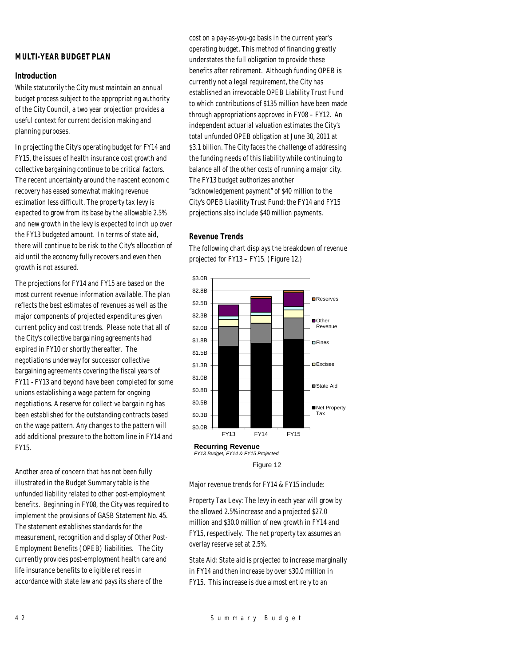### *MULTI-YEAR BUDGET PLAN*

### *Introduction*

While statutorily the City must maintain an annual budget process subject to the appropriating authority of the City Council, a two year projection provides a useful context for current decision making and planning purposes.

In projecting the City's operating budget for FY14 and FY15, the issues of health insurance cost growth and collective bargaining continue to be critical factors. The recent uncertainty around the nascent economic recovery has eased somewhat making revenue estimation less difficult. The property tax levy is expected to grow from its base by the allowable 2.5% and new growth in the levy is expected to inch up over the FY13 budgeted amount. In terms of state aid, there will continue to be risk to the City's allocation of aid until the economy fully recovers and even then growth is not assured.

The projections for FY14 and FY15 are based on the most current revenue information available. The plan reflects the best estimates of revenues as well as the major components of projected expenditures given current policy and cost trends. Please note that all of the City's collective bargaining agreements had expired in FY10 or shortly thereafter. The negotiations underway for successor collective bargaining agreements covering the fiscal years of FY11 - FY13 and beyond have been completed for some unions establishing a wage pattern for ongoing negotiations. A reserve for collective bargaining has been established for the outstanding contracts based on the wage pattern. Any changes to the pattern will add additional pressure to the bottom line in FY14 and FY15.

Another area of concern that has not been fully illustrated in the Budget Summary table is the unfunded liability related to other post-employment benefits. Beginning in FY08, the City was required to implement the provisions of GASB Statement No. 45. The statement establishes standards for the measurement, recognition and display of Other Post-Employment Benefits (OPEB) liabilities. The City currently provides post-employment health care and life insurance benefits to eligible retirees in accordance with state law and pays its share of the

cost on a pay-as-you-go basis in the current year's operating budget. This method of financing greatly understates the full obligation to provide these benefits after retirement. Although funding OPEB is currently not a legal requirement, the City has established an irrevocable OPEB Liability Trust Fund to which contributions of \$135 million have been made through appropriations approved in FY08 – FY12. An independent actuarial valuation estimates the City's total unfunded OPEB obligation at June 30, 2011 at \$3.1 billion. The City faces the challenge of addressing the funding needs of this liability while continuing to balance all of the other costs of running a major city. The FY13 budget authorizes another "acknowledgement payment" of \$40 million to the City's OPEB Liability Trust Fund; the FY14 and FY15 projections also include \$40 million payments.

#### *Revenue Trends*

The following chart displays the breakdown of revenue projected for FY13 – FY15. (Figure 12.)



Figure 12

Major revenue trends for FY14 & FY15 include:

Property Tax Levy: The levy in each year will grow by the allowed 2.5% increase and a projected \$27.0 million and \$30.0 million of new growth in FY14 and FY15, respectively. The net property tax assumes an overlay reserve set at 2.5%.

State Aid: State aid is projected to increase marginally in FY14 and then increase by over \$30.0 million in FY15. This increase is due almost entirely to an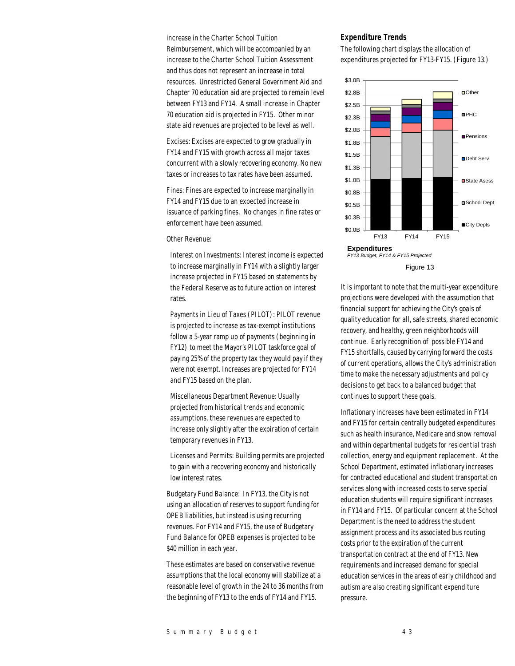increase in the Charter School Tuition Reimbursement, which will be accompanied by an increase to the Charter School Tuition Assessment and thus does not represent an increase in total resources. Unrestricted General Government Aid and Chapter 70 education aid are projected to remain level between FY13 and FY14. A small increase in Chapter 70 education aid is projected in FY15. Other minor state aid revenues are projected to be level as well.

Excises: Excises are expected to grow gradually in FY14 and FY15 with growth across all major taxes concurrent with a slowly recovering economy. No new taxes or increases to tax rates have been assumed.

Fines: Fines are expected to increase marginally in FY14 and FY15 due to an expected increase in issuance of parking fines. No changes in fine rates or enforcement have been assumed.

Other Revenue:

Interest on Investments: Interest income is expected to increase marginally in FY14 with a slightly larger increase projected in FY15 based on statements by the Federal Reserve as to future action on interest rates.

Payments in Lieu of Taxes (PILOT): PILOT revenue is projected to increase as tax-exempt institutions follow a 5-year ramp up of payments (beginning in FY12) to meet the Mayor's PILOT taskforce goal of paying 25% of the property tax they would pay if they were not exempt. Increases are projected for FY14 and FY15 based on the plan.

Miscellaneous Department Revenue: Usually projected from historical trends and economic assumptions, these revenues are expected to increase only slightly after the expiration of certain temporary revenues in FY13.

Licenses and Permits: Building permits are projected to gain with a recovering economy and historically low interest rates.

Budgetary Fund Balance: In FY13, the City is not using an allocation of reserves to support funding for OPEB liabilities, but instead is using recurring revenues. For FY14 and FY15, the use of Budgetary Fund Balance for OPEB expenses is projected to be \$40 million in each year.

These estimates are based on conservative revenue assumptions that the local economy will stabilize at a reasonable level of growth in the 24 to 36 months from the beginning of FY13 to the ends of FY14 and FY15.

#### *Expenditure Trends*

The following chart displays the allocation of expenditures projected for FY13-FY15. (Figure 13.)



Figure 13

It is important to note that the multi-year expenditure projections were developed with the assumption that financial support for achieving the City's goals of quality education for all, safe streets, shared economic recovery, and healthy, green neighborhoods will continue. Early recognition of possible FY14 and FY15 shortfalls, caused by carrying forward the costs of current operations, allows the City's administration time to make the necessary adjustments and policy decisions to get back to a balanced budget that continues to support these goals.

Inflationary increases have been estimated in FY14 and FY15 for certain centrally budgeted expenditures such as health insurance, Medicare and snow removal and within departmental budgets for residential trash collection, energy and equipment replacement. At the School Department, estimated inflationary increases for contracted educational and student transportation services along with increased costs to serve special education students will require significant increases in FY14 and FY15. Of particular concern at the School Department is the need to address the student assignment process and its associated bus routing costs prior to the expiration of the current transportation contract at the end of FY13. New requirements and increased demand for special education services in the areas of early childhood and autism are also creating significant expenditure pressure.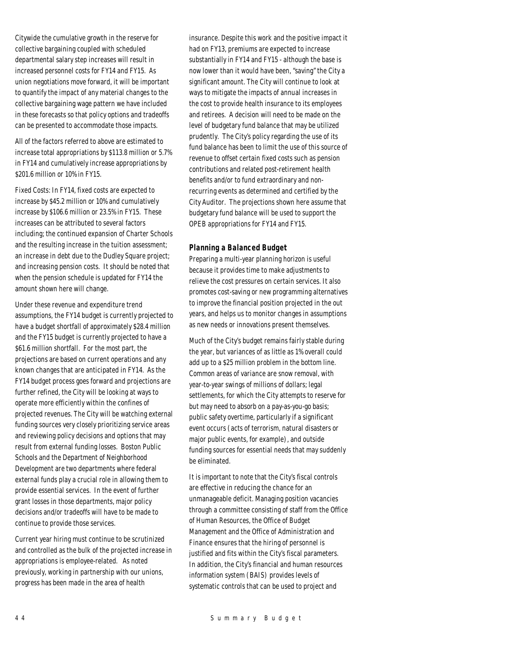Citywide the cumulative growth in the reserve for collective bargaining coupled with scheduled departmental salary step increases will result in increased personnel costs for FY14 and FY15. As union negotiations move forward, it will be important to quantify the impact of any material changes to the collective bargaining wage pattern we have included in these forecasts so that policy options and tradeoffs can be presented to accommodate those impacts.

All of the factors referred to above are estimated to increase total appropriations by \$113.8 million or 5.7% in FY14 and cumulatively increase appropriations by \$201.6 million or 10% in FY15.

Fixed Costs: In FY14, fixed costs are expected to increase by \$45.2 million or 10% and cumulatively increase by \$106.6 million or 23.5% in FY15. These increases can be attributed to several factors including; the continued expansion of Charter Schools and the resulting increase in the tuition assessment; an increase in debt due to the Dudley Square project; and increasing pension costs. It should be noted that when the pension schedule is updated for FY14 the amount shown here will change.

Under these revenue and expenditure trend assumptions, the FY14 budget is currently projected to have a budget shortfall of approximately \$28.4 million and the FY15 budget is currently projected to have a \$61.6 million shortfall. For the most part, the projections are based on current operations and any known changes that are anticipated in FY14. As the FY14 budget process goes forward and projections are further refined, the City will be looking at ways to operate more efficiently within the confines of projected revenues. The City will be watching external funding sources very closely prioritizing service areas and reviewing policy decisions and options that may result from external funding losses. Boston Public Schools and the Department of Neighborhood Development are two departments where federal external funds play a crucial role in allowing them to provide essential services. In the event of further grant losses in those departments, major policy decisions and/or tradeoffs will have to be made to continue to provide those services.

Current year hiring must continue to be scrutinized and controlled as the bulk of the projected increase in appropriations is employee-related. As noted previously, working in partnership with our unions, progress has been made in the area of health

insurance. Despite this work and the positive impact it had on FY13, premiums are expected to increase substantially in FY14 and FY15 - although the base is now lower than it would have been, "saving" the City a significant amount. The City will continue to look at ways to mitigate the impacts of annual increases in the cost to provide health insurance to its employees and retirees. A decision will need to be made on the level of budgetary fund balance that may be utilized prudently. The City's policy regarding the use of its fund balance has been to limit the use of this source of revenue to offset certain fixed costs such as pension contributions and related post-retirement health benefits and/or to fund extraordinary and nonrecurring events as determined and certified by the City Auditor. The projections shown here assume that budgetary fund balance will be used to support the OPEB appropriations for FY14 and FY15.

### *Planning a Balanced Budget*

Preparing a multi-year planning horizon is useful because it provides time to make adjustments to relieve the cost pressures on certain services. It also promotes cost-saving or new programming alternatives to improve the financial position projected in the out years, and helps us to monitor changes in assumptions as new needs or innovations present themselves.

Much of the City's budget remains fairly stable during the year, but variances of as little as 1% overall could add up to a \$25 million problem in the bottom line. Common areas of variance are snow removal, with year-to-year swings of millions of dollars; legal settlements, for which the City attempts to reserve for but may need to absorb on a pay-as-you-go basis; public safety overtime, particularly if a significant event occurs (acts of terrorism, natural disasters or major public events, for example), and outside funding sources for essential needs that may suddenly be eliminated.

It is important to note that the City's fiscal controls are effective in reducing the chance for an unmanageable deficit. Managing position vacancies through a committee consisting of staff from the Office of Human Resources, the Office of Budget Management and the Office of Administration and Finance ensures that the hiring of personnel is justified and fits within the City's fiscal parameters. In addition, the City's financial and human resources information system (BAIS) provides levels of systematic controls that can be used to project and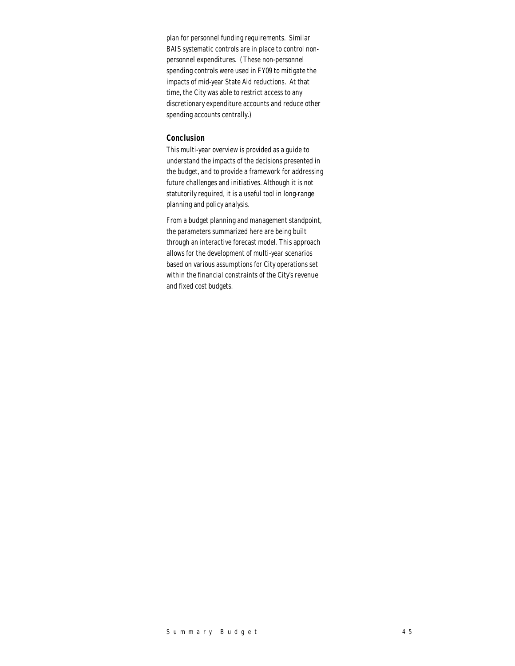plan for personnel funding requirements. Similar BAIS systematic controls are in place to control nonpersonnel expenditures. (These non-personnel spending controls were used in FY09 to mitigate the impacts of mid-year State Aid reductions. At that time, the City was able to restrict access to any discretionary expenditure accounts and reduce other spending accounts centrally.)

### *Conclusion*

This multi-year overview is provided as a guide to understand the impacts of the decisions presented in the budget, and to provide a framework for addressing future challenges and initiatives. Although it is not statutorily required, it is a useful tool in long-range planning and policy analysis.

From a budget planning and management standpoint, the parameters summarized here are being built through an interactive forecast model. This approach allows for the development of multi-year scenarios based on various assumptions for City operations set within the financial constraints of the City's revenue and fixed cost budgets.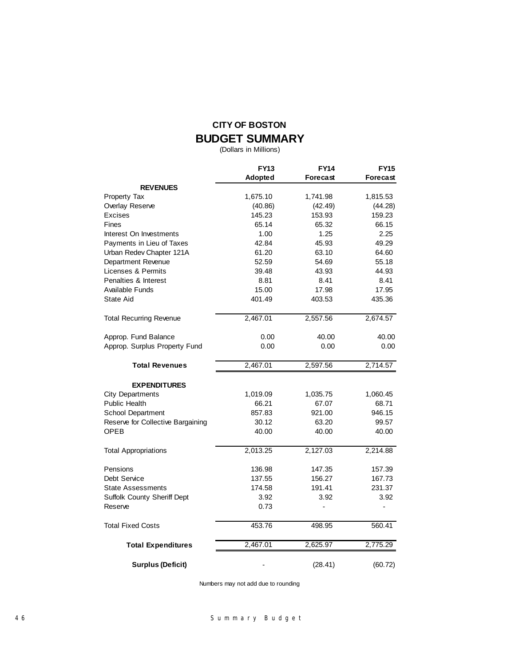### **CITY OF BOSTON BUDGET SUMMARY**

(Dollars in Millions)

|                                   | <b>FY13</b> | <b>FY14</b>     | <b>FY15</b> |
|-----------------------------------|-------------|-----------------|-------------|
|                                   | Adopted     | <b>Forecast</b> | Forecast    |
| <b>REVENUES</b>                   |             |                 |             |
| Property Tax                      | 1,675.10    | 1,741.98        | 1,815.53    |
| Overlay Reserve                   | (40.86)     | (42.49)         | (44.28)     |
| Excises                           | 145.23      | 153.93          | 159.23      |
| <b>Fines</b>                      | 65.14       | 65.32           | 66.15       |
| Interest On Investments           | 1.00        | 1.25            | 2.25        |
| Payments in Lieu of Taxes         | 42.84       | 45.93           | 49.29       |
| Urban Redev Chapter 121A          | 61.20       | 63.10           | 64.60       |
| Department Revenue                | 52.59       | 54.69           | 55.18       |
| Licenses & Permits                | 39.48       | 43.93           | 44.93       |
| Penalties & Interest              | 8.81        | 8.41            | 8.41        |
| Available Funds                   | 15.00       | 17.98           | 17.95       |
| State Aid                         | 401.49      | 403.53          | 435.36      |
| <b>Total Recurring Revenue</b>    | 2,467.01    | 2,557.56        | 2,674.57    |
| Approp. Fund Balance              | 0.00        | 40.00           | 40.00       |
| Approp. Surplus Property Fund     | 0.00        | 0.00            | 0.00        |
| <b>Total Revenues</b>             | 2,467.01    | 2,597.56        | 2,714.57    |
| <b>EXPENDITURES</b>               |             |                 |             |
| <b>City Departments</b>           | 1,019.09    | 1,035.75        | 1,060.45    |
| <b>Public Health</b>              | 66.21       | 67.07           | 68.71       |
| School Department                 | 857.83      | 921.00          | 946.15      |
| Reserve for Collective Bargaining | 30.12       | 63.20           | 99.57       |
| <b>OPEB</b>                       | 40.00       | 40.00           | 40.00       |
| <b>Total Appropriations</b>       | 2,013.25    | 2,127.03        | 2,214.88    |
| Pensions                          | 136.98      | 147.35          | 157.39      |
| Debt Service                      | 137.55      | 156.27          | 167.73      |
| <b>State Assessments</b>          | 174.58      | 191.41          | 231.37      |
| Suffolk County Sheriff Dept       | 3.92        | 3.92            | 3.92        |
| Reserve                           | 0.73        |                 | L,          |
| Total Fixed Costs                 | 453.76      | 498.95          | 560.41      |
| <b>Total Expenditures</b>         | 2,467.01    | 2,625.97        | 2,775.29    |
| <b>Surplus (Deficit)</b>          |             | (28.41)         | (60.72)     |

Numbers may not add due to rounding